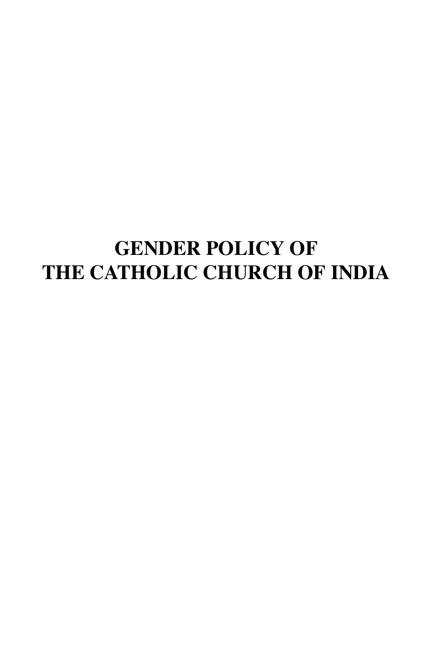# **GENDER POLICY OF THE CATHOLIC CHURCH OF INDIA**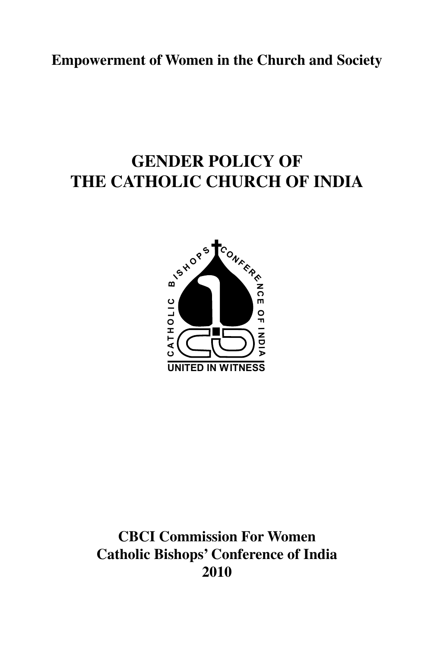**Empowerment of Women in the Church and Society**

# **GENDER POLICY OF THE CATHOLIC CHURCH OF INDIA**



**CBCI Commission For Women Catholic Bishops' Conference of India 2010**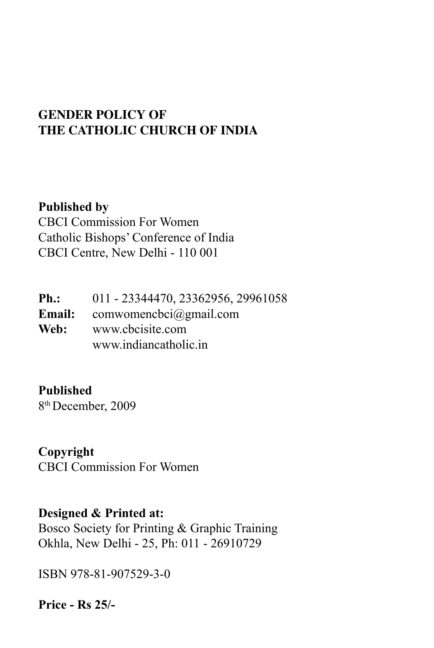### **GENDER POLICY OF THE CATHOLIC CHURCH OF INDIA**

**Published by** CBCI Commission For Women Catholic Bishops' Conference of India CBCI Centre, New Delhi - 110 001

**Ph.:** 011 - 23344470, 23362956, 29961058 **Email:** comwomencbci@gmail.com<br>Web: www.chcisite.com **Web:** www.cbcisite.com www.indiancatholic.in

**Published** 

8th December, 2009

**Copyright** CBCI Commission For Women

#### **Designed & Printed at:**

Bosco Society for Printing & Graphic Training Okhla, New Delhi - 25, Ph: 011 - 26910729

ISBN 978-81-907529-3-0

**Price - Rs 25/-**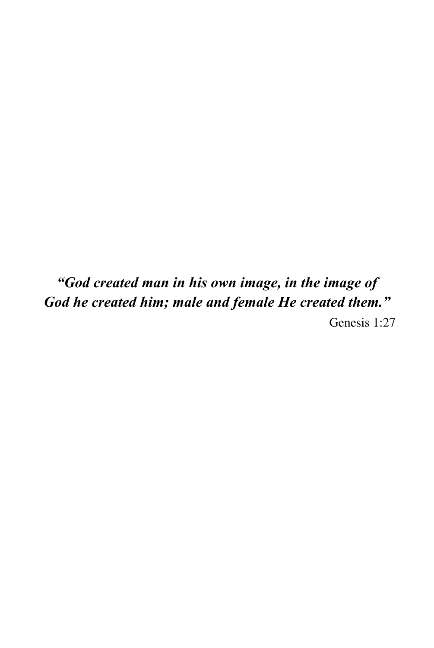*"God created man in his own image, in the image of God he created him; male and female He created them."* Genesis 1:27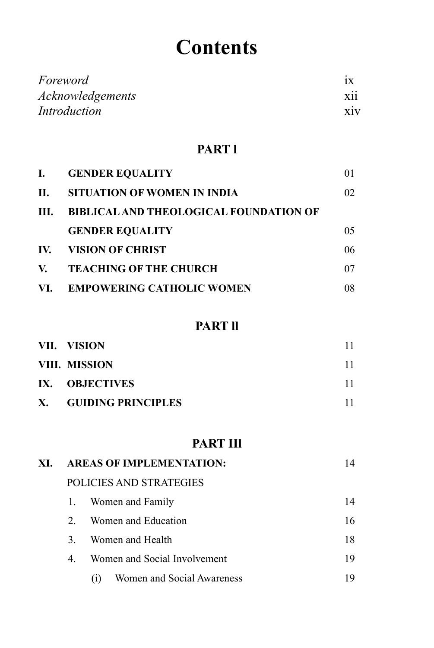# **Contents**

| Foreword         |            |
|------------------|------------|
| Acknowledgements | . .<br>X11 |
| Introduction     | X1V        |

#### **PART l**

| L.   | <b>GENDER EQUALITY</b>                        | 01 |
|------|-----------------------------------------------|----|
| П.   | SITUATION OF WOMEN IN INDIA                   | 02 |
| III. | <b>BIBLICAL AND THEOLOGICAL FOUNDATION OF</b> |    |
|      | <b>GENDER EQUALITY</b>                        | 05 |
| IV.  | <b>VISION OF CHRIST</b>                       | 06 |
| V.   | <b>TEACHING OF THE CHURCH</b>                 | 07 |
|      | VI. EMPOWERING CATHOLIC WOMEN                 | 08 |

#### **PART ll**

| VII. VISION           |  |
|-----------------------|--|
| VIII. MISSION         |  |
| IX. OBJECTIVES        |  |
| X. GUIDING PRINCIPLES |  |

#### **PART IIl**

| XI. |             | <b>AREAS OF IMPLEMENTATION:</b>   | 14 |  |
|-----|-------------|-----------------------------------|----|--|
|     |             | POLICIES AND STRATEGIES           |    |  |
|     | 1.          | Women and Family                  | 14 |  |
|     | $2^{\circ}$ | Women and Education               | 16 |  |
|     | 3.          | Women and Health                  | 18 |  |
|     | 4.          | Women and Social Involvement      | 19 |  |
|     |             | Women and Social Awareness<br>(1) | 19 |  |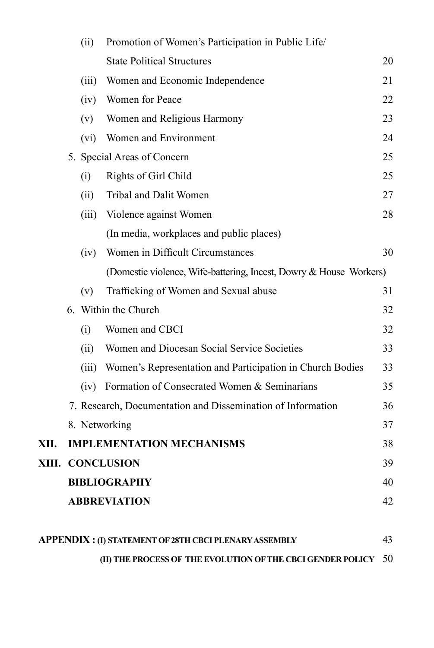|      | (ii)  | Promotion of Women's Participation in Public Life/                 |    |
|------|-------|--------------------------------------------------------------------|----|
|      |       | <b>State Political Structures</b>                                  | 20 |
|      | (iii) | Women and Economic Independence                                    | 21 |
|      | (iv)  | Women for Peace                                                    | 22 |
|      | (v)   | Women and Religious Harmony                                        | 23 |
|      | (vi)  | Women and Environment                                              | 24 |
|      |       | 5. Special Areas of Concern                                        | 25 |
|      | (i)   | Rights of Girl Child                                               | 25 |
|      | (ii)  | Tribal and Dalit Women                                             | 27 |
|      | (iii) | Violence against Women                                             | 28 |
|      |       | (In media, workplaces and public places)                           |    |
|      | (iv)  | Women in Difficult Circumstances                                   | 30 |
|      |       | (Domestic violence, Wife-battering, Incest, Dowry & House Workers) |    |
|      | (v)   | Trafficking of Women and Sexual abuse                              | 31 |
|      |       | 6. Within the Church                                               | 32 |
|      | (i)   | Women and CBCI                                                     | 32 |
|      | (ii)  | Women and Diocesan Social Service Societies                        | 33 |
|      |       | (iii) Women's Representation and Participation in Church Bodies    | 33 |
|      | (iv)  | Formation of Consecrated Women & Seminarians                       | 35 |
|      |       | 7. Research, Documentation and Dissemination of Information        | 36 |
|      |       | 8. Networking                                                      | 37 |
| XII. |       | <b>IMPLEMENTATION MECHANISMS</b>                                   | 38 |
|      |       | XIII. CONCLUSION                                                   | 39 |
|      |       | <b>BIBLIOGRAPHY</b>                                                | 40 |
|      |       | <b>ABBREVIATION</b>                                                | 42 |
|      |       |                                                                    |    |
|      |       | <b>APPENDIX : (I) STATEMENT OF 28TH CBCI PLENARY ASSEMBLY</b>      | 43 |

 **(II) The Process of the EVOLUTION OF THE CBCI Gender Policy** 50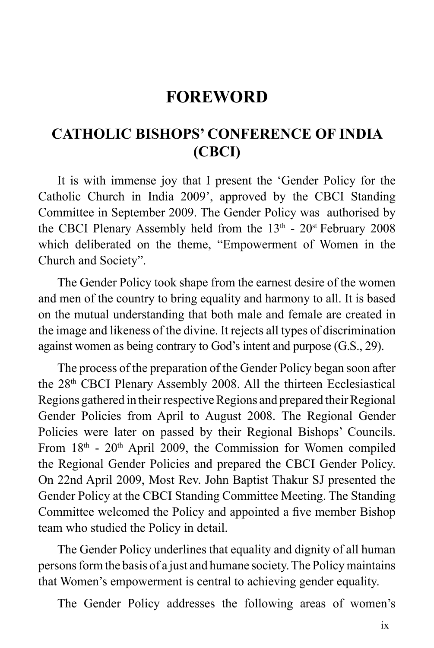## **FOREWORD**

### **CATHOLIC BISHOPS' CONFERENCE OF INDIA (CBCI)**

It is with immense joy that I present the 'Gender Policy for the Catholic Church in India 2009', approved by the CBCI Standing Committee in September 2009. The Gender Policy was authorised by the CBCI Plenary Assembly held from the  $13<sup>th</sup>$  -  $20<sup>st</sup>$  February 2008 which deliberated on the theme, "Empowerment of Women in the Church and Society".

The Gender Policy took shape from the earnest desire of the women and men of the country to bring equality and harmony to all. It is based on the mutual understanding that both male and female are created in the image and likeness of the divine. It rejects all types of discrimination against women as being contrary to God's intent and purpose (G.S., 29).

The process of the preparation of the Gender Policy began soon after the 28th CBCI Plenary Assembly 2008. All the thirteen Ecclesiastical Regions gathered in their respective Regions and prepared their Regional Gender Policies from April to August 2008. The Regional Gender Policies were later on passed by their Regional Bishops' Councils. From  $18<sup>th</sup>$  -  $20<sup>th</sup>$  April 2009, the Commission for Women compiled the Regional Gender Policies and prepared the CBCI Gender Policy. On 22nd April 2009, Most Rev. John Baptist Thakur SJ presented the Gender Policy at the CBCI Standing Committee Meeting. The Standing Committee welcomed the Policy and appointed a five member Bishop team who studied the Policy in detail.

The Gender Policy underlines that equality and dignity of all human persons form the basis of a just and humane society. The Policy maintains that Women's empowerment is central to achieving gender equality.

The Gender Policy addresses the following areas of women's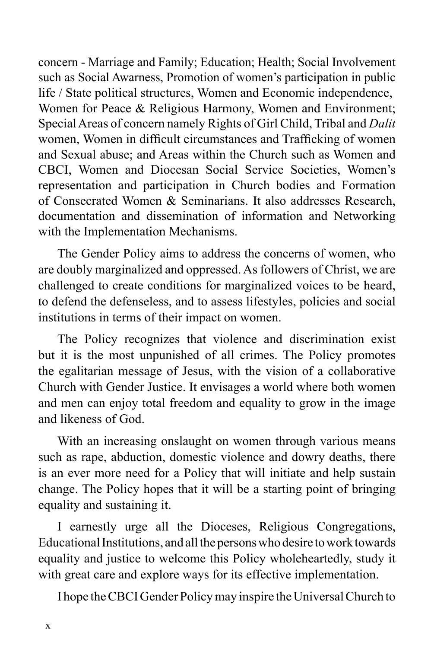concern - Marriage and Family; Education; Health; Social Involvement such as Social Awarness, Promotion of women's participation in public life / State political structures, Women and Economic independence, Women for Peace & Religious Harmony, Women and Environment; Special Areas of concern namely Rights of Girl Child, Tribal and *Dalit* women, Women in difficult circumstances and Trafficking of women and Sexual abuse; and Areas within the Church such as Women and CBCI, Women and Diocesan Social Service Societies, Women's representation and participation in Church bodies and Formation of Consecrated Women & Seminarians. It also addresses Research, documentation and dissemination of information and Networking with the Implementation Mechanisms.

The Gender Policy aims to address the concerns of women, who are doubly marginalized and oppressed. As followers of Christ, we are challenged to create conditions for marginalized voices to be heard, to defend the defenseless, and to assess lifestyles, policies and social institutions in terms of their impact on women.

The Policy recognizes that violence and discrimination exist but it is the most unpunished of all crimes. The Policy promotes the egalitarian message of Jesus, with the vision of a collaborative Church with Gender Justice. It envisages a world where both women and men can enjoy total freedom and equality to grow in the image and likeness of God.

With an increasing onslaught on women through various means such as rape, abduction, domestic violence and dowry deaths, there is an ever more need for a Policy that will initiate and help sustain change. The Policy hopes that it will be a starting point of bringing equality and sustaining it.

I earnestly urge all the Dioceses, Religious Congregations, Educational Institutions, and all the persons who desire to work towards equality and justice to welcome this Policy wholeheartedly, study it with great care and explore ways for its effective implementation.

I hope the CBCI Gender Policy may inspire the Universal Church to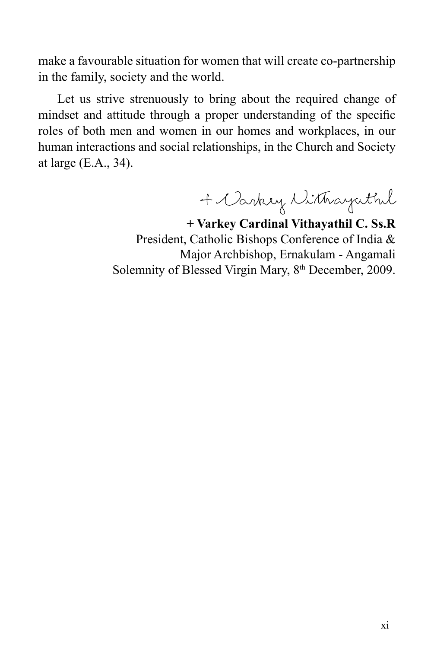make a favourable situation for women that will create co-partnership in the family, society and the world.

Let us strive strenuously to bring about the required change of mindset and attitude through a proper understanding of the specific roles of both men and women in our homes and workplaces, in our human interactions and social relationships, in the Church and Society at large (E.A., 34).

+ Carkey Withayuthil

**+ Varkey Cardinal Vithayathil C. Ss.R** President, Catholic Bishops Conference of India & Major Archbishop, Ernakulam - Angamali Solemnity of Blessed Virgin Mary, 8<sup>th</sup> December, 2009.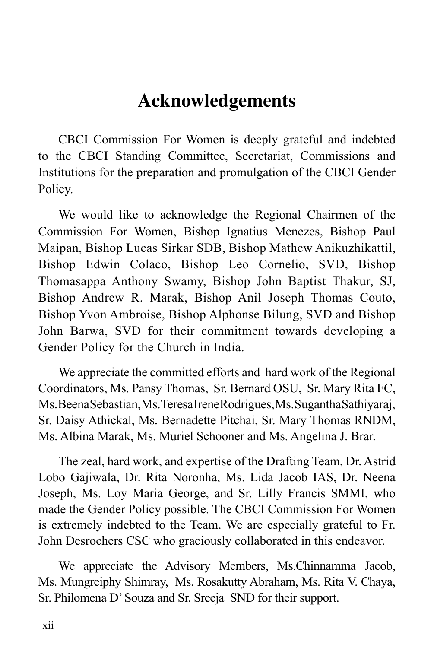# **Acknowledgements**

CBCI Commission For Women is deeply grateful and indebted to the CBCI Standing Committee, Secretariat, Commissions and Institutions for the preparation and promulgation of the CBCI Gender Policy.

We would like to acknowledge the Regional Chairmen of the Commission For Women, Bishop Ignatius Menezes, Bishop Paul Maipan, Bishop Lucas Sirkar SDB, Bishop Mathew Anikuzhikattil, Bishop Edwin Colaco, Bishop Leo Cornelio, SVD, Bishop Thomasappa Anthony Swamy, Bishop John Baptist Thakur, SJ, Bishop Andrew R. Marak, Bishop Anil Joseph Thomas Couto, Bishop Yvon Ambroise, Bishop Alphonse Bilung, SVD and Bishop John Barwa, SVD for their commitment towards developing a Gender Policy for the Church in India.

We appreciate the committed efforts and hard work of the Regional Coordinators, Ms. Pansy Thomas, Sr. Bernard OSU, Sr. Mary Rita FC, Ms. Beena Sebastian, Ms. Teresa Irene Rodrigues, Ms. Sugantha Sathiyaraj, Sr. Daisy Athickal, Ms. Bernadette Pitchai, Sr. Mary Thomas RNDM, Ms. Albina Marak, Ms. Muriel Schooner and Ms. Angelina J. Brar.

The zeal, hard work, and expertise of the Drafting Team, Dr. Astrid Lobo Gajiwala, Dr. Rita Noronha, Ms. Lida Jacob IAS, Dr. Neena Joseph, Ms. Loy Maria George, and Sr. Lilly Francis SMMI, who made the Gender Policy possible. The CBCI Commission For Women is extremely indebted to the Team. We are especially grateful to Fr. John Desrochers CSC who graciously collaborated in this endeavor.

We appreciate the Advisory Members, Ms.Chinnamma Jacob, Ms. Mungreiphy Shimray, Ms. Rosakutty Abraham, Ms. Rita V. Chaya, Sr. Philomena D' Souza and Sr. Sreeja SND for their support.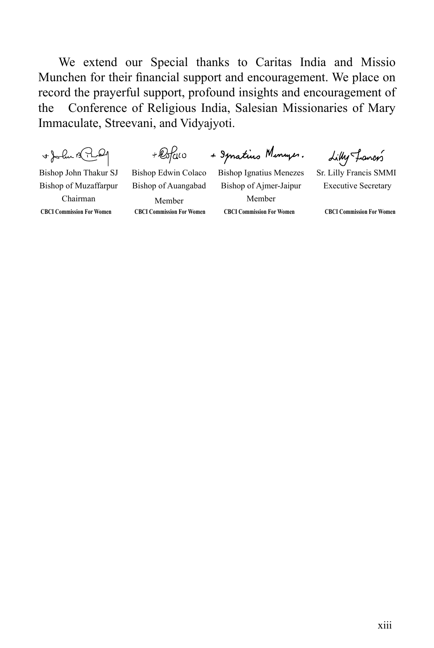We extend our Special thanks to Caritas India and Missio Munchen for their financial support and encouragement. We place on record the prayerful support, profound insights and encouragement of the Conference of Religious India, Salesian Missionaries of Mary Immaculate, Streevani, and Vidyajyoti.

+John Bridge

 $+ \mathcal{Q}$ fuo

+ Spratius Monumes.

Lilly Francis

Bishop John Thakur SJ Bishop of Muzaffarpur Chairman

Bishop of Auangabad Member

Bishop Edwin Colaco

**CBCI Commission For Women CBCI Commission For Women CBCI Commission For Women CBCI Commission For Women** Bishop Ignatius Menezes Bishop of Ajmer-Jaipur Member

Sr. Lilly Francis SMMI Executive Secretary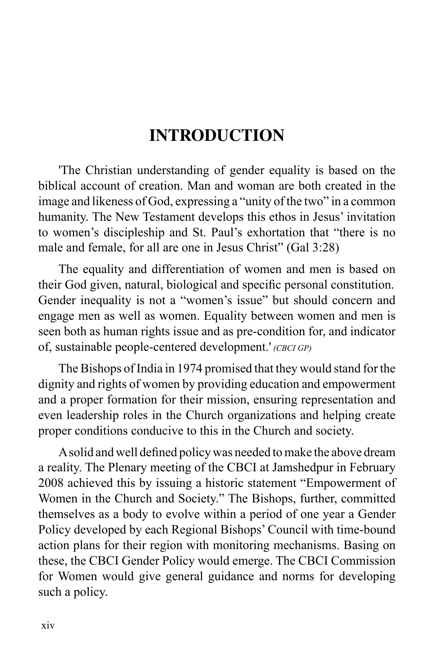# **INTRODUCTION**

'The Christian understanding of gender equality is based on the biblical account of creation. Man and woman are both created in the image and likeness of God, expressing a "unity of the two" in a common humanity. The New Testament develops this ethos in Jesus' invitation to women's discipleship and St. Paul's exhortation that "there is no male and female, for all are one in Jesus Christ" (Gal 3:28)

The equality and differentiation of women and men is based on their God given, natural, biological and specific personal constitution. Gender inequality is not a "women's issue" but should concern and engage men as well as women. Equality between women and men is seen both as human rights issue and as pre-condition for, and indicator of, sustainable people-centered development.' *(cbci GP)*

The Bishops of India in 1974 promised that they would stand for the dignity and rights of women by providing education and empowerment and a proper formation for their mission, ensuring representation and even leadership roles in the Church organizations and helping create proper conditions conducive to this in the Church and society.

 Asolid and well defined policy was needed tomake the above dream a reality. The Plenary meeting of the CBCI at Jamshedpur in February 2008 achieved this by issuing a historic statement "Empowerment of Women in the Church and Society." The Bishops, further, committed themselves as a body to evolve within a period of one year a Gender Policy developed by each Regional Bishops' Council with time-bound action plans for their region with monitoring mechanisms. Basing on these, the CBCI Gender Policy would emerge. The CBCI Commission for Women would give general guidance and norms for developing such a policy.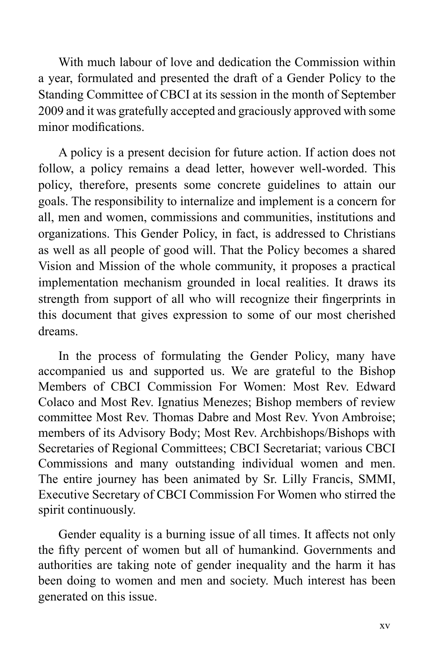With much labour of love and dedication the Commission within a year, formulated and presented the draft of a Gender Policy to the Standing Committee of CBCI at its session in the month of September 2009 and it was gratefully accepted and graciously approved with some minor modifications.

A policy is a present decision for future action. If action does not follow, a policy remains a dead letter, however well-worded. This policy, therefore, presents some concrete guidelines to attain our goals. The responsibility to internalize and implement is a concern for all, men and women, commissions and communities, institutions and organizations. This Gender Policy, in fact, is addressed to Christians as well as all people of good will. That the Policy becomes a shared Vision and Mission of the whole community, it proposes a practical implementation mechanism grounded in local realities. It draws its strength from support of all who will recognize their fingerprints in this document that gives expression to some of our most cherished dreams.

In the process of formulating the Gender Policy, many have accompanied us and supported us. We are grateful to the Bishop Members of CBCI Commission For Women: Most Rev. Edward Colaco and Most Rev. Ignatius Menezes; Bishop members of review committee Most Rev. Thomas Dabre and Most Rev. Yvon Ambroise; members of its Advisory Body; Most Rev. Archbishops/Bishops with Secretaries of Regional Committees; CBCI Secretariat; various CBCI Commissions and many outstanding individual women and men. The entire journey has been animated by Sr. Lilly Francis, SMMI, Executive Secretary of CBCI Commission For Women who stirred the spirit continuously.

Gender equality is a burning issue of all times. It affects not only the fifty percent of women but all of humankind. Governments and authorities are taking note of gender inequality and the harm it has been doing to women and men and society. Much interest has been generated on this issue.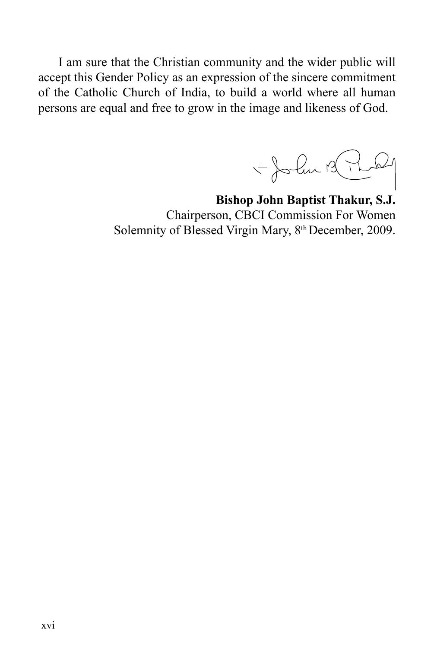I am sure that the Christian community and the wider public will accept this Gender Policy as an expression of the sincere commitment of the Catholic Church of India, to build a world where all human persons are equal and free to grow in the image and likeness of God.

+Jola B.P  $\omega$ 

**Bishop John Baptist Thakur, S.J.** Chairperson, CBCI Commission For Women Solemnity of Blessed Virgin Mary, 8<sup>th</sup> December, 2009.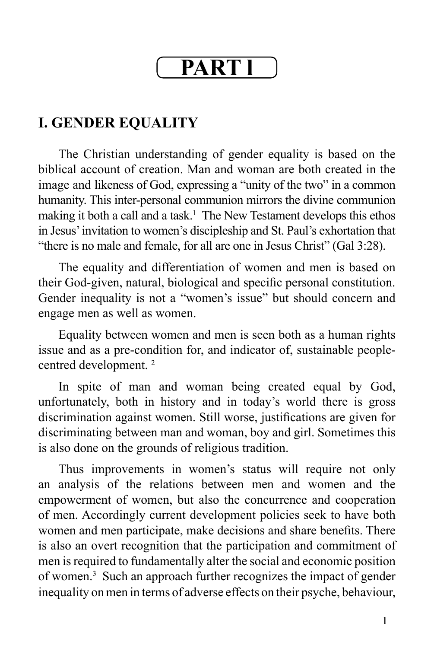# **Part l**

## **I. GENDER EQUALITY**

The Christian understanding of gender equality is based on the biblical account of creation. Man and woman are both created in the image and likeness of God, expressing a "unity of the two" in a common humanity. This inter-personal communion mirrors the divine communion making it both a call and a task.<sup>1</sup> The New Testament develops this ethos in Jesus' invitation to women's discipleship and St. Paul's exhortation that "there is no male and female, for all are one in Jesus Christ" (Gal 3:28).

The equality and differentiation of women and men is based on their God-given, natural, biological and specific personal constitution. Gender inequality is not a "women's issue" but should concern and engage men as well as women.

Equality between women and men is seen both as a human rights issue and as a pre-condition for, and indicator of, sustainable peoplecentred development. 2

In spite of man and woman being created equal by God, unfortunately, both in history and in today's world there is gross discrimination against women. Still worse, justifications are given for discriminating between man and woman, boy and girl. Sometimes this is also done on the grounds of religious tradition.

Thus improvements in women's status will require not only an analysis of the relations between men and women and the empowerment of women, but also the concurrence and cooperation of men. Accordingly current development policies seek to have both women and men participate, make decisions and share benefits. There is also an overt recognition that the participation and commitment of men is required to fundamentally alter the social and economic position of women.3 Such an approach further recognizes the impact of gender inequality on men in terms of adverse effects on their psyche, behaviour,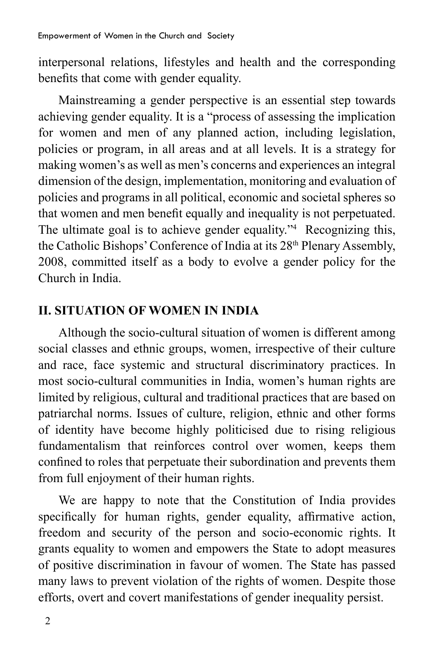interpersonal relations, lifestyles and health and the corresponding benefits that come with gender equality.

Mainstreaming a gender perspective is an essential step towards achieving gender equality. It is a "process of assessing the implication for women and men of any planned action, including legislation, policies or program, in all areas and at all levels. It is a strategy for making women's as well as men's concerns and experiences an integral dimension of the design, implementation, monitoring and evaluation of policies and programs in all political, economic and societal spheres so that women and men benefit equally and inequality is not perpetuated. The ultimate goal is to achieve gender equality."4 Recognizing this, the Catholic Bishops' Conference of India at its 28<sup>th</sup> Plenary Assembly, 2008, committed itself as a body to evolve a gender policy for the Church in India.

#### **II. SITUATION OF WOMEN IN INDIA**

Although the socio-cultural situation of women is different among social classes and ethnic groups, women, irrespective of their culture and race, face systemic and structural discriminatory practices. In most socio-cultural communities in India, women's human rights are limited by religious, cultural and traditional practices that are based on patriarchal norms. Issues of culture, religion, ethnic and other forms of identity have become highly politicised due to rising religious fundamentalism that reinforces control over women, keeps them confined to roles that perpetuate their subordination and prevents them from full enjoyment of their human rights.

We are happy to note that the Constitution of India provides specifically for human rights, gender equality, affirmative action, freedom and security of the person and socio-economic rights. It grants equality to women and empowers the State to adopt measures of positive discrimination in favour of women. The State has passed many laws to prevent violation of the rights of women. Despite those efforts, overt and covert manifestations of gender inequality persist.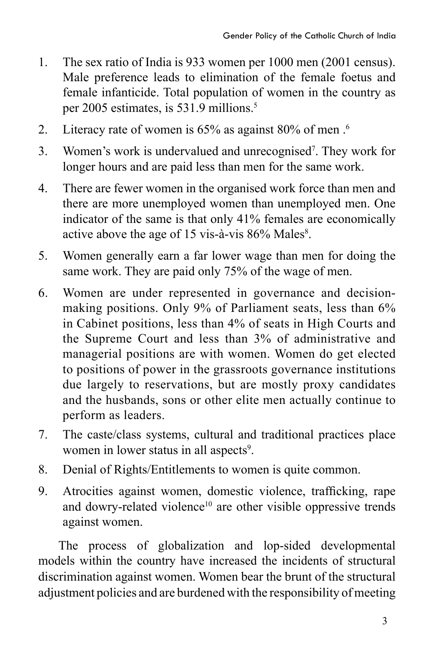- 1. The sex ratio of India is 933 women per 1000 men (2001 census). Male preference leads to elimination of the female foetus and female infanticide. Total population of women in the country as per 2005 estimates, is 531.9 millions.5
- 2. Literacy rate of women is 65% as against 80% of men .<sup>6</sup>
- 3. Women's work is undervalued and unrecognised<sup>7</sup>. They work for longer hours and are paid less than men for the same work.
- 4. There are fewer women in the organised work force than men and there are more unemployed women than unemployed men. One indicator of the same is that only 41% females are economically active above the age of 15 vis-à-vis 86% Males<sup>8</sup>.
- 5. Women generally earn a far lower wage than men for doing the same work. They are paid only 75% of the wage of men.
- 6. Women are under represented in governance and decisionmaking positions. Only 9% of Parliament seats, less than 6% in Cabinet positions, less than 4% of seats in High Courts and the Supreme Court and less than 3% of administrative and managerial positions are with women. Women do get elected to positions of power in the grassroots governance institutions due largely to reservations, but are mostly proxy candidates and the husbands, sons or other elite men actually continue to perform as leaders.
- 7. The caste/class systems, cultural and traditional practices place women in lower status in all aspects<sup>9</sup>.
- 8. Denial of Rights/Entitlements to women is quite common.
- 9. Atrocities against women, domestic violence, trafficking, rape and dowry-related violence<sup>10</sup> are other visible oppressive trends against women.

The process of globalization and lop-sided developmental models within the country have increased the incidents of structural discrimination against women. Women bear the brunt of the structural adjustment policies and are burdened with the responsibility of meeting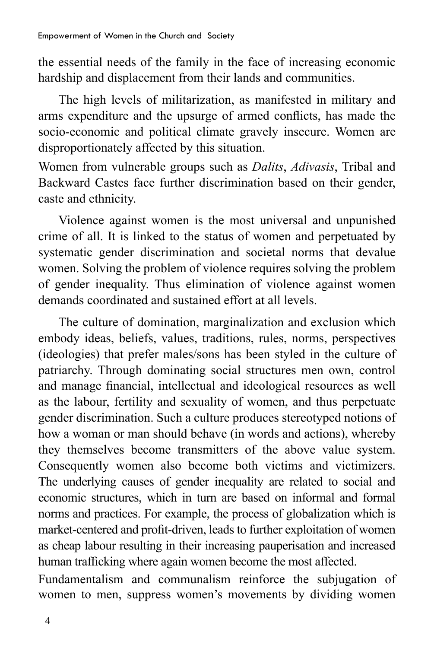the essential needs of the family in the face of increasing economic hardship and displacement from their lands and communities.

The high levels of militarization, as manifested in military and arms expenditure and the upsurge of armed conflicts, has made the socio-economic and political climate gravely insecure. Women are disproportionately affected by this situation.

Women from vulnerable groups such as *Dalits*, *Adivasis*, Tribal and Backward Castes face further discrimination based on their gender, caste and ethnicity.

Violence against women is the most universal and unpunished crime of all. It is linked to the status of women and perpetuated by systematic gender discrimination and societal norms that devalue women. Solving the problem of violence requires solving the problem of gender inequality. Thus elimination of violence against women demands coordinated and sustained effort at all levels.

The culture of domination, marginalization and exclusion which embody ideas, beliefs, values, traditions, rules, norms, perspectives (ideologies) that prefer males/sons has been styled in the culture of patriarchy. Through dominating social structures men own, control and manage financial, intellectual and ideological resources as well as the labour, fertility and sexuality of women, and thus perpetuate gender discrimination. Such a culture produces stereotyped notions of how a woman or man should behave (in words and actions), whereby they themselves become transmitters of the above value system. Consequently women also become both victims and victimizers. The underlying causes of gender inequality are related to social and economic structures, which in turn are based on informal and formal norms and practices. For example, the process of globalization which is market-centered and profit-driven, leads to further exploitation of women as cheap labour resulting in their increasing pauperisation and increased human trafficking where again women become the most affected.

Fundamentalism and communalism reinforce the subjugation of women to men, suppress women's movements by dividing women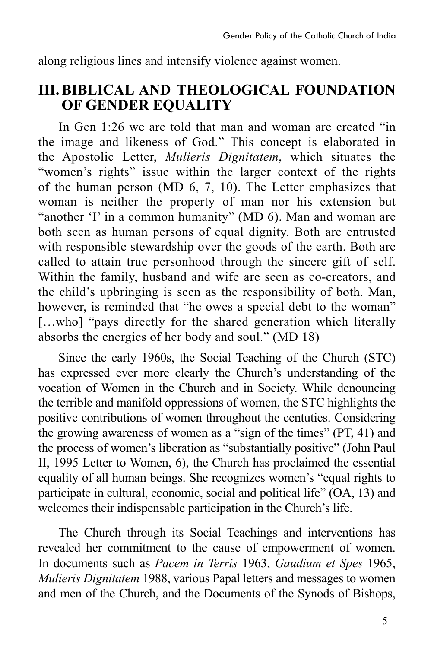along religious lines and intensify violence against women.

### **III. BIBLICAL AND THEOLOGICAL FOUNDATION OF GENDER EQUALITY**

In Gen 1:26 we are told that man and woman are created "in the image and likeness of God." This concept is elaborated in the Apostolic Letter, *Mulieris Dignitatem*, which situates the "women's rights" issue within the larger context of the rights of the human person (MD 6, 7, 10). The Letter emphasizes that woman is neither the property of man nor his extension but "another 'I' in a common humanity" (MD 6). Man and woman are both seen as human persons of equal dignity. Both are entrusted with responsible stewardship over the goods of the earth. Both are called to attain true personhood through the sincere gift of self. Within the family, husband and wife are seen as co-creators, and the child's upbringing is seen as the responsibility of both. Man, however, is reminded that "he owes a special debt to the woman" [...who] "pays directly for the shared generation which literally absorbs the energies of her body and soul." (MD 18)

Since the early 1960s, the Social Teaching of the Church (STC) has expressed ever more clearly the Church's understanding of the vocation of Women in the Church and in Society. While denouncing the terrible and manifold oppressions of women, the STC highlights the positive contributions of women throughout the centuties. Considering the growing awareness of women as a "sign of the times" (PT, 41) and the process of women's liberation as "substantially positive" (John Paul II, 1995 Letter to Women, 6), the Church has proclaimed the essential equality of all human beings. She recognizes women's "equal rights to participate in cultural, economic, social and political life" (OA, 13) and welcomes their indispensable participation in the Church's life.

The Church through its Social Teachings and interventions has revealed her commitment to the cause of empowerment of women. In documents such as *Pacem in Terris* 1963, *Gaudium et Spes* 1965, *Mulieris Dignitatem* 1988, various Papal letters and messages to women and men of the Church, and the Documents of the Synods of Bishops,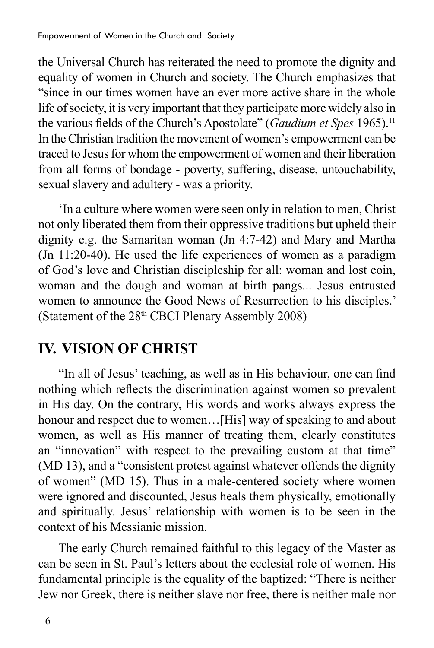the Universal Church has reiterated the need to promote the dignity and equality of women in Church and society. The Church emphasizes that "since in our times women have an ever more active share in the whole life of society, it is very important that they participate more widely also in the various fields of the Church's Apostolate" (*Gaudium et Spes* 1965).11 In the Christian tradition the movement of women's empowerment can be traced to Jesus for whom the empowerment of women and their liberation from all forms of bondage - poverty, suffering, disease, untouchability, sexual slavery and adultery - was a priority.

'In a culture where women were seen only in relation to men, Christ not only liberated them from their oppressive traditions but upheld their dignity e.g. the Samaritan woman (Jn 4:7-42) and Mary and Martha (Jn 11:20-40). He used the life experiences of women as a paradigm of God's love and Christian discipleship for all: woman and lost coin, woman and the dough and woman at birth pangs... Jesus entrusted women to announce the Good News of Resurrection to his disciples.' (Statement of the 28<sup>th</sup> CBCI Plenary Assembly 2008)

## **IV. VISION OF CHRIST**

"In all of Jesus' teaching, as well as in His behaviour, one can find nothing which reflects the discrimination against women so prevalent in His day. On the contrary, His words and works always express the honour and respect due to women...[His] way of speaking to and about women, as well as His manner of treating them, clearly constitutes an "innovation" with respect to the prevailing custom at that time" (MD 13), and a "consistent protest against whatever offends the dignity of women" (MD 15). Thus in a male-centered society where women were ignored and discounted, Jesus heals them physically, emotionally and spiritually. Jesus' relationship with women is to be seen in the context of his Messianic mission.

The early Church remained faithful to this legacy of the Master as can be seen in St. Paul's letters about the ecclesial role of women. His fundamental principle is the equality of the baptized: "There is neither Jew nor Greek, there is neither slave nor free, there is neither male nor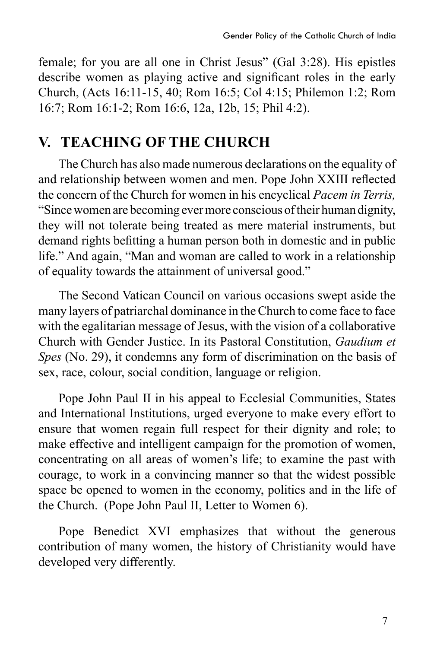female; for you are all one in Christ Jesus" (Gal 3:28). His epistles describe women as playing active and significant roles in the early Church, (Acts 16:11-15, 40; Rom 16:5; Col 4:15; Philemon 1:2; Rom 16:7; Rom 16:1-2; Rom 16:6, 12a, 12b, 15; Phil 4:2).

### **V. TEACHING OF THE CHURCH**

The Church has also made numerous declarations on the equality of and relationship between women and men. Pope John XXIII reflected the concern of the Church for women in his encyclical *Pacem in Terris,* "Since women are becoming ever more conscious of their human dignity, they will not tolerate being treated as mere material instruments, but demand rights befitting a human person both in domestic and in public life." And again, "Man and woman are called to work in a relationship of equality towards the attainment of universal good."

The Second Vatican Council on various occasions swept aside the many layers of patriarchal dominance in the Church to come face to face with the egalitarian message of Jesus, with the vision of a collaborative Church with Gender Justice. In its Pastoral Constitution, *Gaudium et Spes* (No. 29), it condemns any form of discrimination on the basis of sex, race, colour, social condition, language or religion.

Pope John Paul II in his appeal to Ecclesial Communities, States and International Institutions, urged everyone to make every effort to ensure that women regain full respect for their dignity and role; to make effective and intelligent campaign for the promotion of women, concentrating on all areas of women's life; to examine the past with courage, to work in a convincing manner so that the widest possible space be opened to women in the economy, politics and in the life of the Church. (Pope John Paul II, Letter to Women 6).

Pope Benedict XVI emphasizes that without the generous contribution of many women, the history of Christianity would have developed very differently.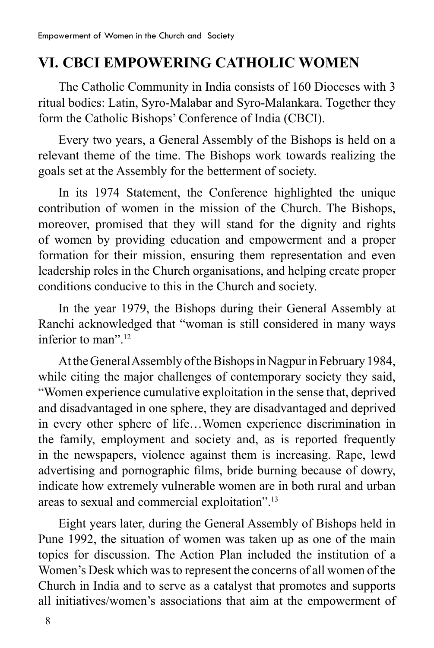## **VI. CBCI EMPOWERING CATHOLIC WOMEN**

The Catholic Community in India consists of 160 Dioceses with 3 ritual bodies: Latin, Syro-Malabar and Syro-Malankara. Together they form the Catholic Bishops' Conference of India (CBCI).

Every two years, a General Assembly of the Bishops is held on a relevant theme of the time. The Bishops work towards realizing the goals set at the Assembly for the betterment of society.

In its 1974 Statement, the Conference highlighted the unique contribution of women in the mission of the Church. The Bishops, moreover, promised that they will stand for the dignity and rights of women by providing education and empowerment and a proper formation for their mission, ensuring them representation and even leadership roles in the Church organisations, and helping create proper conditions conducive to this in the Church and society.

In the year 1979, the Bishops during their General Assembly at Ranchi acknowledged that "woman is still considered in many ways inferior to man"<sup>12</sup>

At the General Assembly of the Bishops in Nagpur in February 1984, while citing the major challenges of contemporary society they said, "Women experience cumulative exploitation in the sense that, deprived and disadvantaged in one sphere, they are disadvantaged and deprived in every other sphere of life…Women experience discrimination in the family, employment and society and, as is reported frequently in the newspapers, violence against them is increasing. Rape, lewd advertising and pornographic films, bride burning because of dowry, indicate how extremely vulnerable women are in both rural and urban areas to sexual and commercial exploitation".13

Eight years later, during the General Assembly of Bishops held in Pune 1992, the situation of women was taken up as one of the main topics for discussion. The Action Plan included the institution of a Women's Desk which was to represent the concerns of all women of the Church in India and to serve as a catalyst that promotes and supports all initiatives/women's associations that aim at the empowerment of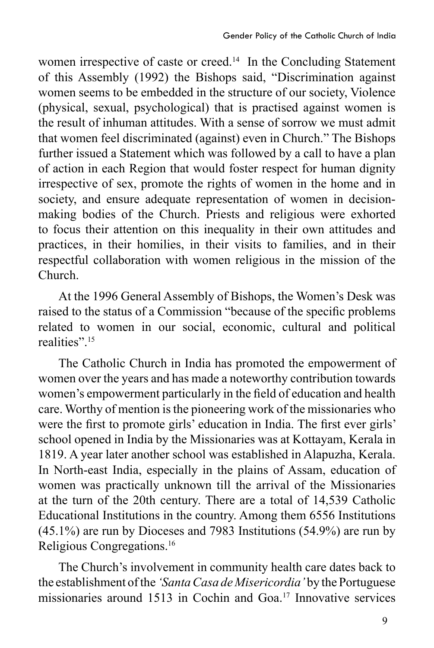women irrespective of caste or creed.<sup>14</sup> In the Concluding Statement of this Assembly (1992) the Bishops said, "Discrimination against women seems to be embedded in the structure of our society, Violence (physical, sexual, psychological) that is practised against women is the result of inhuman attitudes. With a sense of sorrow we must admit that women feel discriminated (against) even in Church." The Bishops further issued a Statement which was followed by a call to have a plan of action in each Region that would foster respect for human dignity irrespective of sex, promote the rights of women in the home and in society, and ensure adequate representation of women in decisionmaking bodies of the Church. Priests and religious were exhorted to focus their attention on this inequality in their own attitudes and practices, in their homilies, in their visits to families, and in their respectful collaboration with women religious in the mission of the Church.

At the 1996 General Assembly of Bishops, the Women's Desk was raised to the status of a Commission "because of the specific problems related to women in our social, economic, cultural and political realities".<sup>15</sup>

The Catholic Church in India has promoted the empowerment of women over the years and has made a noteworthy contribution towards women's empowerment particularly in the field of education and health care. Worthy of mention is the pioneering work of the missionaries who were the first to promote girls' education in India. The first ever girls' school opened in India by the Missionaries was at Kottayam, Kerala in 1819. A year later another school was established in Alapuzha, Kerala. In North-east India, especially in the plains of Assam, education of women was practically unknown till the arrival of the Missionaries at the turn of the 20th century. There are a total of 14,539 Catholic Educational Institutions in the country. Among them 6556 Institutions (45.1%) are run by Dioceses and 7983 Institutions (54.9%) are run by Religious Congregations.16

The Church's involvement in community health care dates back to the establishment of the *'Santa Casa de Misericordia'* by the Portuguese missionaries around 1513 in Cochin and Goa.17 Innovative services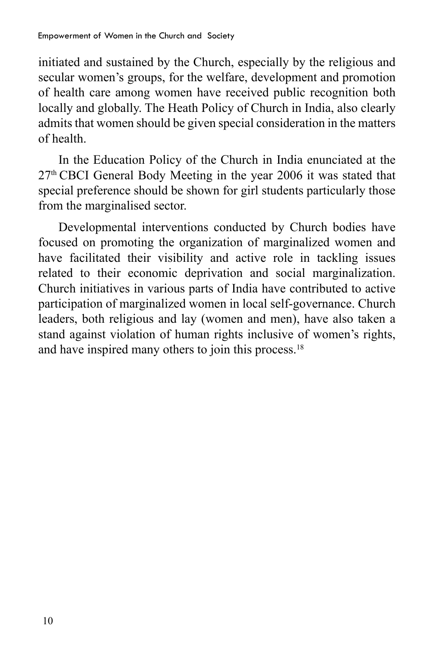initiated and sustained by the Church, especially by the religious and secular women's groups, for the welfare, development and promotion of health care among women have received public recognition both locally and globally. The Heath Policy of Church in India, also clearly admits that women should be given special consideration in the matters of health.

In the Education Policy of the Church in India enunciated at the 27th CBCI General Body Meeting in the year 2006 it was stated that special preference should be shown for girl students particularly those from the marginalised sector.

Developmental interventions conducted by Church bodies have focused on promoting the organization of marginalized women and have facilitated their visibility and active role in tackling issues related to their economic deprivation and social marginalization. Church initiatives in various parts of India have contributed to active participation of marginalized women in local self-governance. Church leaders, both religious and lay (women and men), have also taken a stand against violation of human rights inclusive of women's rights, and have inspired many others to join this process.<sup>18</sup>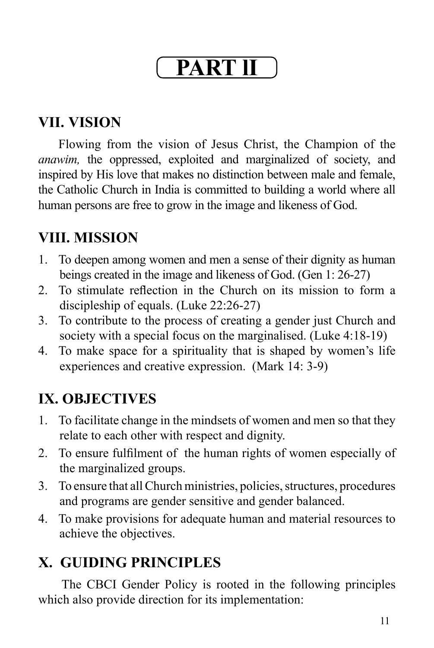# **Part lI**

## **VII. VISION**

Flowing from the vision of Jesus Christ, the Champion of the *anawim,* the oppressed, exploited and marginalized of society, and inspired by His love that makes no distinction between male and female, the Catholic Church in India is committed to building a world where all human persons are free to grow in the image and likeness of God.

# **VIII. MISSION**

- 1. To deepen among women and men a sense of their dignity as human beings created in the image and likeness of God. (Gen 1: 26-27)
- 2. To stimulate reflection in the Church on its mission to form a discipleship of equals. (Luke 22:26-27)
- 3. To contribute to the process of creating a gender just Church and society with a special focus on the marginalised. (Luke 4:18-19)
- 4. To make space for a spirituality that is shaped by women's life experiences and creative expression. (Mark 14: 3-9)

# **IX. OBJECTIVES**

- 1. To facilitate change in the mindsets of women and men so that they relate to each other with respect and dignity.
- 2. To ensure fulfilment of the human rights of women especially of the marginalized groups.
- 3. To ensure that all Church ministries, policies, structures, procedures and programs are gender sensitive and gender balanced.
- 4. To make provisions for adequate human and material resources to achieve the objectives.

# **X. GUIDING PRINCIPLES**

The CBCI Gender Policy is rooted in the following principles which also provide direction for its implementation: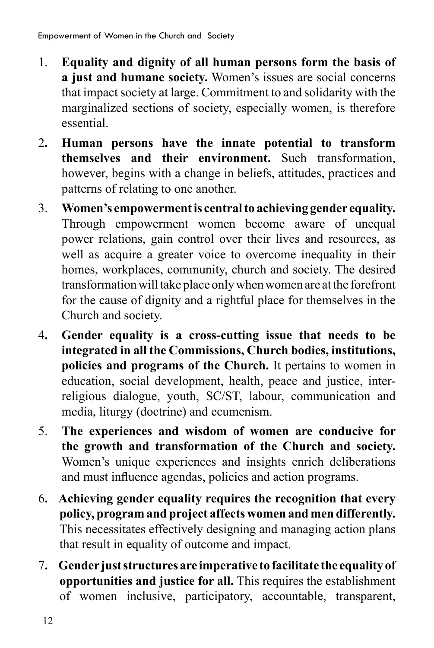- 1. **Equality and dignity of all human persons form the basis of a just and humane society.** Women's issues are social concerns that impact society at large. Commitment to and solidarity with the marginalized sections of society, especially women, is therefore essential.
- 2**. Human persons have the innate potential to transform themselves and their environment.** Such transformation, however, begins with a change in beliefs, attitudes, practices and patterns of relating to one another.
- 3. **Women's empowerment is central to achieving gender equality.**  Through empowerment women become aware of unequal power relations, gain control over their lives and resources, as well as acquire a greater voice to overcome inequality in their homes, workplaces, community, church and society. The desired transformation will take place only when women are at the forefront for the cause of dignity and a rightful place for themselves in the Church and society.
- 4**. Gender equality is a cross-cutting issue that needs to be integrated in all the Commissions, Church bodies, institutions, policies and programs of the Church.** It pertains to women in education, social development, health, peace and justice, interreligious dialogue, youth, SC/ST, labour, communication and media, liturgy (doctrine) and ecumenism.
- 5. **The experiences and wisdom of women are conducive for the growth and transformation of the Church and society.** Women's unique experiences and insights enrich deliberations and must influence agendas, policies and action programs.
- 6**. Achieving gender equality requires the recognition that every policy, program and project affects women and men differently.** This necessitates effectively designing and managing action plans that result in equality of outcome and impact.
- 7**. Gender just structures are imperative to facilitate the equality of opportunities and justice for all.** This requires the establishment of women inclusive, participatory, accountable, transparent,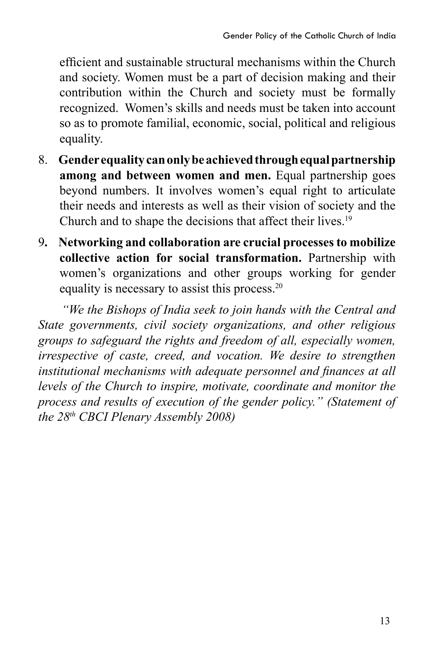efficient and sustainable structural mechanisms within the Church and society. Women must be a part of decision making and their contribution within the Church and society must be formally recognized. Women's skills and needs must be taken into account so as to promote familial, economic, social, political and religious equality.

- 8. **Gender equality can only be achieved through equal partnership among and between women and men.** Equal partnership goes beyond numbers. It involves women's equal right to articulate their needs and interests as well as their vision of society and the Church and to shape the decisions that affect their lives.19
- 9**. Networking and collaboration are crucial processes to mobilize collective action for social transformation.** Partnership with women's organizations and other groups working for gender equality is necessary to assist this process.20

*"We the Bishops of India seek to join hands with the Central and State governments, civil society organizations, and other religious groups to safeguard the rights and freedom of all, especially women, irrespective of caste, creed, and vocation. We desire to strengthen institutional mechanisms with adequate personnel and finances at all levels of the Church to inspire, motivate, coordinate and monitor the process and results of execution of the gender policy." (Statement of the 28th CBCI Plenary Assembly 2008)*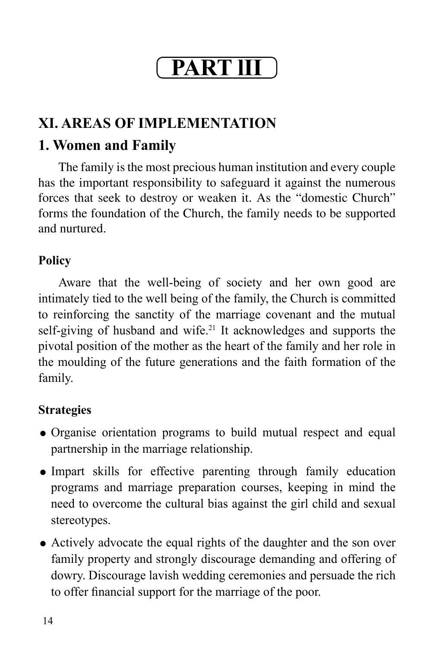# **Part lII**

## **XI. AREAS OF IMPLEMENTATION**

## **1. Women and Family**

The family is the most precious human institution and every couple has the important responsibility to safeguard it against the numerous forces that seek to destroy or weaken it. As the "domestic Church" forms the foundation of the Church, the family needs to be supported and nurtured.

### **Policy**

Aware that the well-being of society and her own good are intimately tied to the well being of the family, the Church is committed to reinforcing the sanctity of the marriage covenant and the mutual self-giving of husband and wife.<sup>21</sup> It acknowledges and supports the pivotal position of the mother as the heart of the family and her role in the moulding of the future generations and the faith formation of the family.

- Organise orientation programs to build mutual respect and equal partnership in the marriage relationship.
- Impart skills for effective parenting through family education programs and marriage preparation courses, keeping in mind the need to overcome the cultural bias against the girl child and sexual stereotypes.
- Actively advocate the equal rights of the daughter and the son over family property and strongly discourage demanding and offering of dowry. Discourage lavish wedding ceremonies and persuade the rich to offer financial support for the marriage of the poor.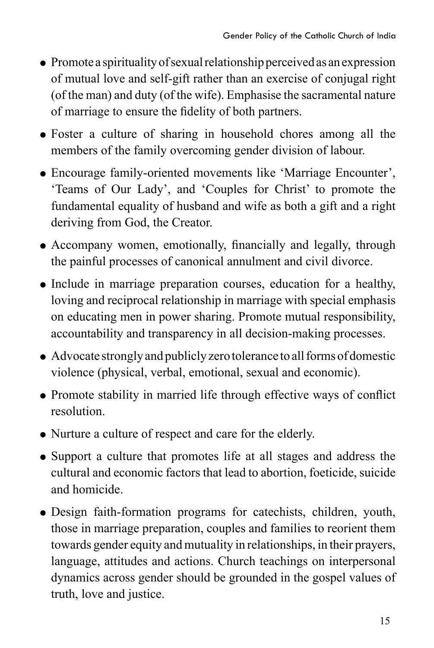- Promote a spirituality of sexual relationship perceived as an expression of mutual love and self-gift rather than an exercise of conjugal right (of the man) and duty (of the wife). Emphasise the sacramental nature of marriage to ensure the fidelity of both partners.
- Foster a culture of sharing in household chores among all the members of the family overcoming gender division of labour.
- Encourage family-oriented movements like 'Marriage Encounter', 'Teams of Our Lady', and 'Couples for Christ' to promote the fundamental equality of husband and wife as both a gift and a right deriving from God, the Creator.
- Accompany women, emotionally, financially and legally, through the painful processes of canonical annulment and civil divorce.
- Include in marriage preparation courses, education for a healthy, loving and reciprocal relationship in marriage with special emphasis on educating men in power sharing. Promote mutual responsibility, accountability and transparency in all decision-making processes.
- Advocate strongly and publicly zero tolerance to all forms of domestic violence (physical, verbal, emotional, sexual and economic).
- Promote stability in married life through effective ways of conflict resolution.
- Nurture a culture of respect and care for the elderly.
- Support a culture that promotes life at all stages and address the cultural and economic factors that lead to abortion, foeticide, suicide and homicide.
- Design faith-formation programs for catechists, children, youth, those in marriage preparation, couples and families to reorient them towards gender equity and mutuality in relationships, in their prayers, language, attitudes and actions. Church teachings on interpersonal dynamics across gender should be grounded in the gospel values of truth, love and justice.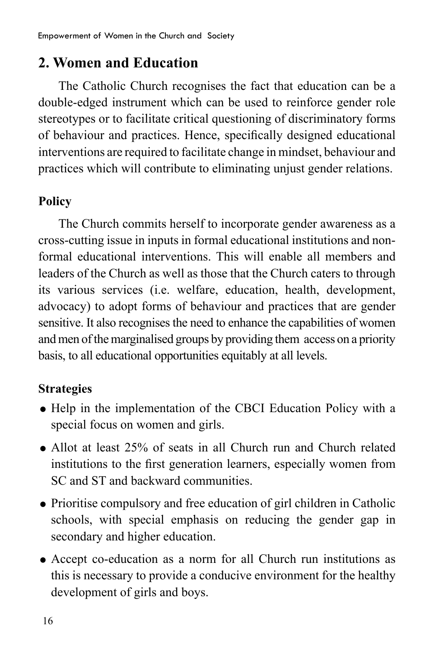### **2. Women and Education**

The Catholic Church recognises the fact that education can be a double-edged instrument which can be used to reinforce gender role stereotypes or to facilitate critical questioning of discriminatory forms of behaviour and practices. Hence, specifically designed educational interventions are required to facilitate change in mindset, behaviour and practices which will contribute to eliminating unjust gender relations.

### **Policy**

The Church commits herself to incorporate gender awareness as a cross-cutting issue in inputs in formal educational institutions and nonformal educational interventions. This will enable all members and leaders of the Church as well as those that the Church caters to through its various services (i.e. welfare, education, health, development, advocacy) to adopt forms of behaviour and practices that are gender sensitive. It also recognises the need to enhance the capabilities of women and men of the marginalised groups by providing them access on a priority basis, to all educational opportunities equitably at all levels.

- Help in the implementation of the CBCI Education Policy with a special focus on women and girls.
- Allot at least 25% of seats in all Church run and Church related institutions to the first generation learners, especially women from SC and ST and backward communities.
- Prioritise compulsory and free education of girl children in Catholic schools, with special emphasis on reducing the gender gap in secondary and higher education.
- Accept co-education as a norm for all Church run institutions as this is necessary to provide a conducive environment for the healthy development of girls and boys.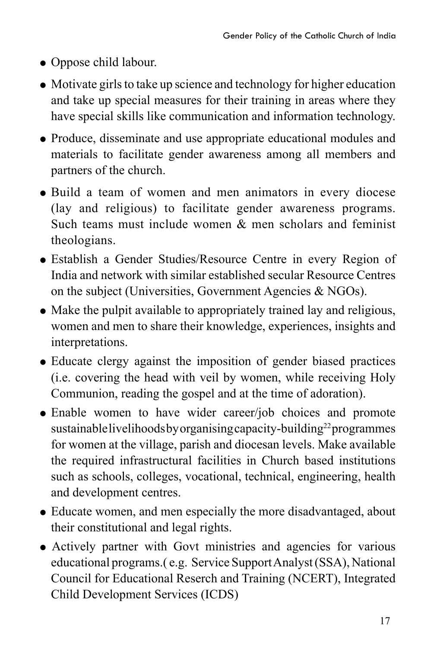- Oppose child labour.
- Motivate girls to take up science and technology for higher education and take up special measures for their training in areas where they have special skills like communication and information technology.
- Produce, disseminate and use appropriate educational modules and materials to facilitate gender awareness among all members and partners of the church.
- Build a team of women and men animators in every diocese (lay and religious) to facilitate gender awareness programs. Such teams must include women & men scholars and feminist theologians.
- Establish a Gender Studies/Resource Centre in every Region of India and network with similar established secular Resource Centres on the subject (Universities, Government Agencies & NGOs).
- Make the pulpit available to appropriately trained lay and religious, women and men to share their knowledge, experiences, insights and interpretations.
- Educate clergy against the imposition of gender biased practices (i.e. covering the head with veil by women, while receiving Holy Communion, reading the gospel and at the time of adoration).
- Enable women to have wider career/job choices and promote sustainable livelihoods by organising capacity-building<sup>22</sup> programmes for women at the village, parish and diocesan levels. Make available the required infrastructural facilities in Church based institutions such as schools, colleges, vocational, technical, engineering, health and development centres.
- Educate women, and men especially the more disadvantaged, about their constitutional and legal rights.
- Actively partner with Govt ministries and agencies for various educational programs.( e.g. Service Support Analyst (SSA), National Council for Educational Reserch and Training (NCERT), Integrated Child Development Services (ICDS)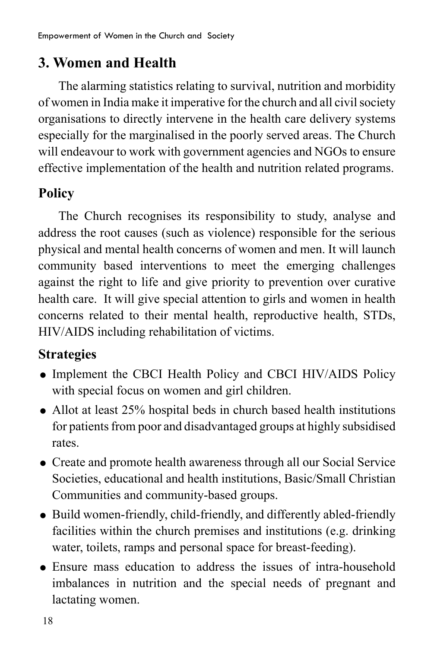### **3. Women and Health**

The alarming statistics relating to survival, nutrition and morbidity of women in India make it imperative for the church and all civil society organisations to directly intervene in the health care delivery systems especially for the marginalised in the poorly served areas. The Church will endeavour to work with government agencies and NGOs to ensure effective implementation of the health and nutrition related programs.

### **Policy**

The Church recognises its responsibility to study, analyse and address the root causes (such as violence) responsible for the serious physical and mental health concerns of women and men. It will launch community based interventions to meet the emerging challenges against the right to life and give priority to prevention over curative health care. It will give special attention to girls and women in health concerns related to their mental health, reproductive health, STDs, HIV/AIDS including rehabilitation of victims.

- Implement the CBCI Health Policy and CBCI HIV/AIDS Policy with special focus on women and girl children.
- Allot at least 25% hospital beds in church based health institutions for patients from poor and disadvantaged groups at highly subsidised rates.
- Create and promote health awareness through all our Social Service Societies, educational and health institutions, Basic/Small Christian Communities and community-based groups.
- Build women-friendly, child-friendly, and differently abled-friendly facilities within the church premises and institutions (e.g. drinking water, toilets, ramps and personal space for breast-feeding).
- Ensure mass education to address the issues of intra-household imbalances in nutrition and the special needs of pregnant and lactating women.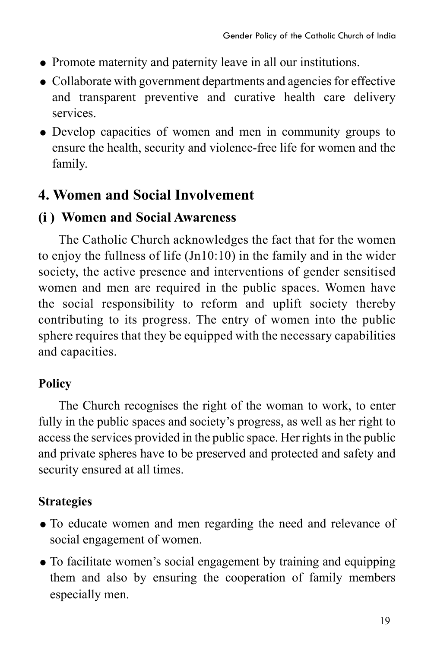- Promote maternity and paternity leave in all our institutions.
- Collaborate with government departments and agencies for effective and transparent preventive and curative health care delivery services.
- Develop capacities of women and men in community groups to ensure the health, security and violence-free life for women and the family.

### **4. Women and Social Involvement**

### **(i ) Women and Social Awareness**

The Catholic Church acknowledges the fact that for the women to enjoy the fullness of life (Jn10:10) in the family and in the wider society, the active presence and interventions of gender sensitised women and men are required in the public spaces. Women have the social responsibility to reform and uplift society thereby contributing to its progress. The entry of women into the public sphere requires that they be equipped with the necessary capabilities and capacities.

### **Policy**

The Church recognises the right of the woman to work, to enter fully in the public spaces and society's progress, as well as her right to access the services provided in the public space. Her rights in the public and private spheres have to be preserved and protected and safety and security ensured at all times.

- To educate women and men regarding the need and relevance of social engagement of women.
- To facilitate women's social engagement by training and equipping them and also by ensuring the cooperation of family members especially men.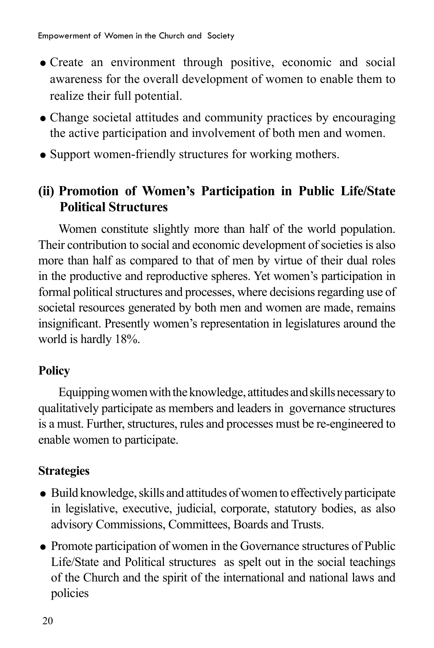- Create an environment through positive, economic and social awareness for the overall development of women to enable them to realize their full potential.
- Change societal attitudes and community practices by encouraging the active participation and involvement of both men and women.
- Support women-friendly structures for working mothers.

### **(ii) Promotion of Women's Participation in Public Life/State Political Structures**

Women constitute slightly more than half of the world population. Their contribution to social and economic development of societies is also more than half as compared to that of men by virtue of their dual roles in the productive and reproductive spheres. Yet women's participation in formal political structures and processes, where decisions regarding use of societal resources generated by both men and women are made, remains insignificant. Presently women's representation in legislatures around the world is hardly 18%.

### **Policy**

Equipping women with the knowledge, attitudes and skills necessary to qualitatively participate as members and leaders in governance structures is a must. Further, structures, rules and processes must be re-engineered to enable women to participate.

- Build knowledge, skills and attitudes of women to effectively participate in legislative, executive, judicial, corporate, statutory bodies, as also advisory Commissions, Committees, Boards and Trusts.
- Promote participation of women in the Governance structures of Public Life/State and Political structures as spelt out in the social teachings of the Church and the spirit of the international and national laws and policies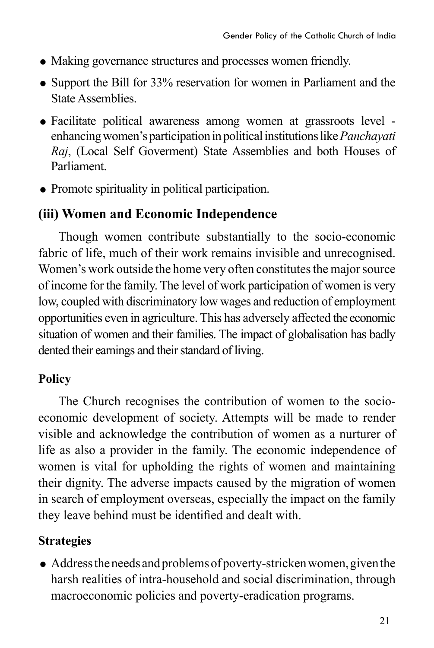- Making governance structures and processes women friendly.
- Support the Bill for 33% reservation for women in Parliament and the State Assemblies.
- Facilitate political awareness among women at grassroots level enhancing women's participation in political institutions like *Panchayati Raj*, (Local Self Goverment) State Assemblies and both Houses of Parliament.
- Promote spirituality in political participation.

### **(iii) Women and Economic Independence**

Though women contribute substantially to the socio-economic fabric of life, much of their work remains invisible and unrecognised. Women's work outside the home very often constitutes the major source of income for the family. The level of work participation of women is very low, coupled with discriminatory low wages and reduction of employment opportunities even in agriculture. This has adversely affected the economic situation of women and their families. The impact of globalisation has badly dented their earnings and their standard of living.

### **Policy**

The Church recognises the contribution of women to the socioeconomic development of society. Attempts will be made to render visible and acknowledge the contribution of women as a nurturer of life as also a provider in the family. The economic independence of women is vital for upholding the rights of women and maintaining their dignity. The adverse impacts caused by the migration of women in search of employment overseas, especially the impact on the family they leave behind must be identified and dealt with.

### **Strategies**

 Address the needs and problems of poverty-stricken women, given the harsh realities of intra-household and social discrimination, through macroeconomic policies and poverty-eradication programs.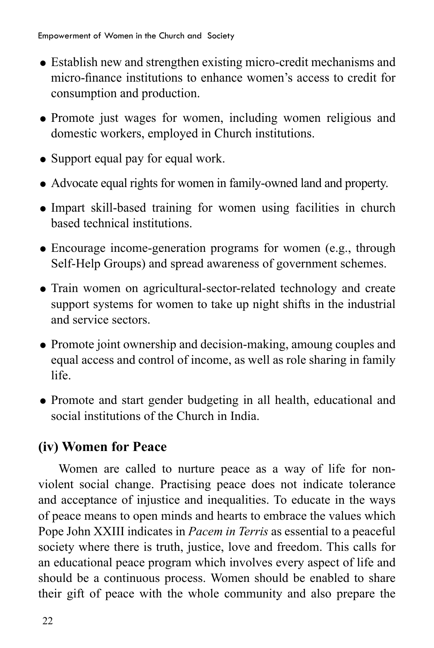- Establish new and strengthen existing micro-credit mechanisms and micro-finance institutions to enhance women's access to credit for consumption and production.
- Promote just wages for women, including women religious and domestic workers, employed in Church institutions.
- Support equal pay for equal work.
- Advocate equal rights for women in family-owned land and property.
- Impart skill-based training for women using facilities in church based technical institutions.
- Encourage income-generation programs for women (e.g., through Self-Help Groups) and spread awareness of government schemes.
- Train women on agricultural-sector-related technology and create support systems for women to take up night shifts in the industrial and service sectors.
- Promote joint ownership and decision-making, amoung couples and equal access and control of income, as well as role sharing in family life.
- Promote and start gender budgeting in all health, educational and social institutions of the Church in India.

# **(iv) Women for Peace**

Women are called to nurture peace as a way of life for nonviolent social change. Practising peace does not indicate tolerance and acceptance of injustice and inequalities. To educate in the ways of peace means to open minds and hearts to embrace the values which Pope John XXIII indicates in *Pacem in Terris* as essential to a peaceful society where there is truth, justice, love and freedom. This calls for an educational peace program which involves every aspect of life and should be a continuous process. Women should be enabled to share their gift of peace with the whole community and also prepare the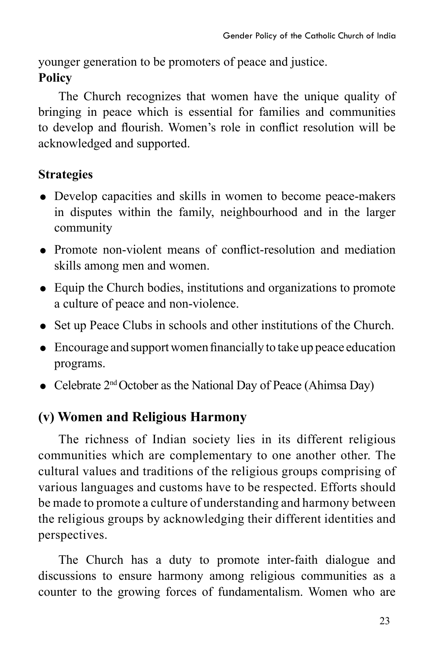younger generation to be promoters of peace and justice. **Policy**

The Church recognizes that women have the unique quality of bringing in peace which is essential for families and communities to develop and flourish. Women's role in conflict resolution will be acknowledged and supported.

### **Strategies**

- Develop capacities and skills in women to become peace-makers in disputes within the family, neighbourhood and in the larger community
- Promote non-violent means of conflict-resolution and mediation skills among men and women.
- Equip the Church bodies, institutions and organizations to promote a culture of peace and non-violence.
- Set up Peace Clubs in schools and other institutions of the Church.
- Encourage and supportwomen financially to take up peace education programs.
- Celebrate  $2<sup>nd</sup> October as the National Day of Peace (Ahimsa Day)$

# **(v) Women and Religious Harmony**

The richness of Indian society lies in its different religious communities which are complementary to one another other. The cultural values and traditions of the religious groups comprising of various languages and customs have to be respected. Efforts should be made to promote a culture of understanding and harmony between the religious groups by acknowledging their different identities and perspectives.

The Church has a duty to promote inter-faith dialogue and discussions to ensure harmony among religious communities as a counter to the growing forces of fundamentalism. Women who are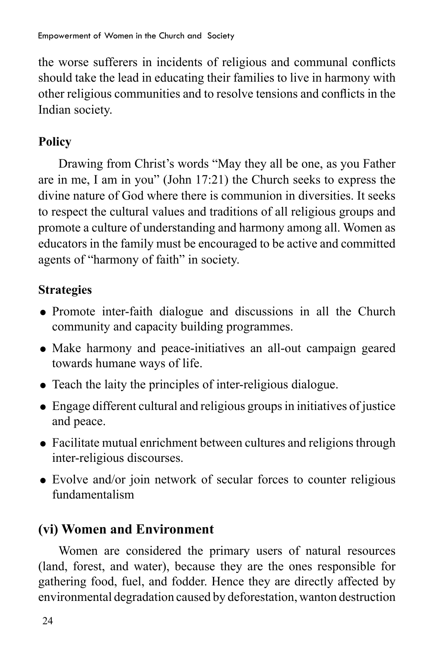the worse sufferers in incidents of religious and communal conflicts should take the lead in educating their families to live in harmony with other religious communities and to resolve tensions and conflicts in the Indian society.

## **Policy**

Drawing from Christ's words "May they all be one, as you Father are in me, I am in you" (John 17:21) the Church seeks to express the divine nature of God where there is communion in diversities. It seeks to respect the cultural values and traditions of all religious groups and promote a culture of understanding and harmony among all. Women as educators in the family must be encouraged to be active and committed agents of "harmony of faith" in society.

# **Strategies**

- Promote inter-faith dialogue and discussions in all the Church community and capacity building programmes.
- Make harmony and peace-initiatives an all-out campaign geared towards humane ways of life.
- Teach the laity the principles of inter-religious dialogue.
- Engage different cultural and religious groups in initiatives of justice and peace.
- Facilitate mutual enrichment between cultures and religions through inter-religious discourses.
- Evolve and/or join network of secular forces to counter religious fundamentalism

# **(vi) Women and Environment**

Women are considered the primary users of natural resources (land, forest, and water), because they are the ones responsible for gathering food, fuel, and fodder. Hence they are directly affected by environmental degradation caused by deforestation, wanton destruction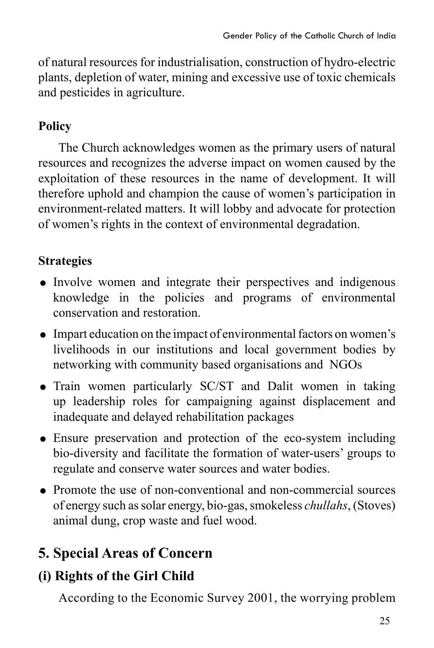of natural resources for industrialisation, construction of hydro-electric plants, depletion of water, mining and excessive use of toxic chemicals and pesticides in agriculture.

### **Policy**

The Church acknowledges women as the primary users of natural resources and recognizes the adverse impact on women caused by the exploitation of these resources in the name of development. It will therefore uphold and champion the cause of women's participation in environment-related matters. It will lobby and advocate for protection of women's rights in the context of environmental degradation.

# **Strategies**

- Involve women and integrate their perspectives and indigenous knowledge in the policies and programs of environmental conservation and restoration.
- Impart education on the impact of environmental factors on women's livelihoods in our institutions and local government bodies by networking with community based organisations and NGOs
- Train women particularly SC/ST and Dalit women in taking up leadership roles for campaigning against displacement and inadequate and delayed rehabilitation packages
- Ensure preservation and protection of the eco-system including bio-diversity and facilitate the formation of water-users' groups to regulate and conserve water sources and water bodies.
- Promote the use of non-conventional and non-commercial sources of energy such as solar energy, bio-gas, smokeless *chullahs*, (Stoves) animal dung, crop waste and fuel wood.

# **5. Special Areas of Concern**

# **(i) Rights of the Girl Child**

According to the Economic Survey 2001, the worrying problem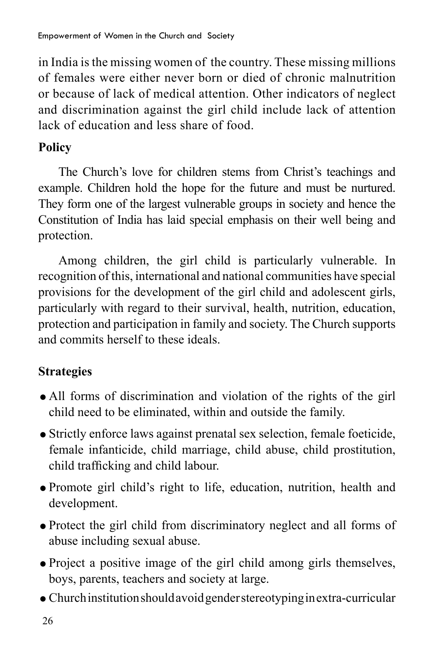in India is the missing women of the country. These missing millions of females were either never born or died of chronic malnutrition or because of lack of medical attention. Other indicators of neglect and discrimination against the girl child include lack of attention lack of education and less share of food.

# **Policy**

The Church's love for children stems from Christ's teachings and example. Children hold the hope for the future and must be nurtured. They form one of the largest vulnerable groups in society and hence the Constitution of India has laid special emphasis on their well being and protection.

Among children, the girl child is particularly vulnerable. In recognition of this, international and national communities have special provisions for the development of the girl child and adolescent girls, particularly with regard to their survival, health, nutrition, education, protection and participation in family and society. The Church supports and commits herself to these ideals.

- All forms of discrimination and violation of the rights of the girl child need to be eliminated, within and outside the family.
- Strictly enforce laws against prenatal sex selection, female foeticide, female infanticide, child marriage, child abuse, child prostitution, child trafficking and child labour.
- Promote girl child's right to life, education, nutrition, health and development.
- Protect the girl child from discriminatory neglect and all forms of abuse including sexual abuse.
- Project a positive image of the girl child among girls themselves, boys, parents, teachers and society at large.
- Church institution should avoid gender stereotyping in extra-curricular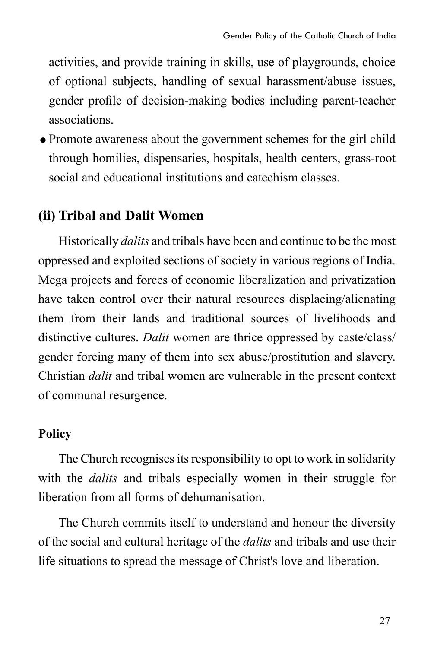activities, and provide training in skills, use of playgrounds, choice of optional subjects, handling of sexual harassment/abuse issues, gender profile of decision-making bodies including parent-teacher associations.

Promote awareness about the government schemes for the girl child through homilies, dispensaries, hospitals, health centers, grass-root social and educational institutions and catechism classes.

## **(ii) Tribal and Dalit Women**

Historically *dalits* and tribals have been and continue to be the most oppressed and exploited sections of society in various regions of India. Mega projects and forces of economic liberalization and privatization have taken control over their natural resources displacing/alienating them from their lands and traditional sources of livelihoods and distinctive cultures. *Dalit* women are thrice oppressed by caste/class/ gender forcing many of them into sex abuse/prostitution and slavery. Christian *dalit* and tribal women are vulnerable in the present context of communal resurgence.

### **Policy**

The Church recognises its responsibility to opt to work in solidarity with the *dalits* and tribals especially women in their struggle for liberation from all forms of dehumanisation.

The Church commits itself to understand and honour the diversity of the social and cultural heritage of the *dalits* and tribals and use their life situations to spread the message of Christ's love and liberation.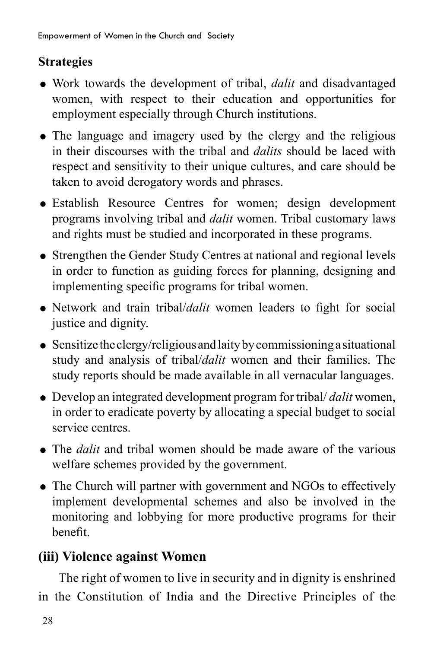### **Strategies**

- Work towards the development of tribal, *dalit* and disadvantaged women, with respect to their education and opportunities for employment especially through Church institutions.
- The language and imagery used by the clergy and the religious in their discourses with the tribal and *dalits* should be laced with respect and sensitivity to their unique cultures, and care should be taken to avoid derogatory words and phrases.
- Establish Resource Centres for women; design development programs involving tribal and *dalit* women. Tribal customary laws and rights must be studied and incorporated in these programs.
- Strengthen the Gender Study Centres at national and regional levels in order to function as guiding forces for planning, designing and implementing specific programs for tribal women.
- Network and train tribal/*dalit* women leaders to fight for social justice and dignity.
- Sensitize the clergy/religious and laity by commissioning a situational study and analysis of tribal/*dalit* women and their families. The study reports should be made available in all vernacular languages.
- Develop an integrated development program for tribal/ *dalit* women, in order to eradicate poverty by allocating a special budget to social service centres.
- The *dalit* and tribal women should be made aware of the various welfare schemes provided by the government.
- The Church will partner with government and NGOs to effectively implement developmental schemes and also be involved in the monitoring and lobbying for more productive programs for their benefit.

# **(iii) Violence against Women**

The right of women to live in security and in dignity is enshrined in the Constitution of India and the Directive Principles of the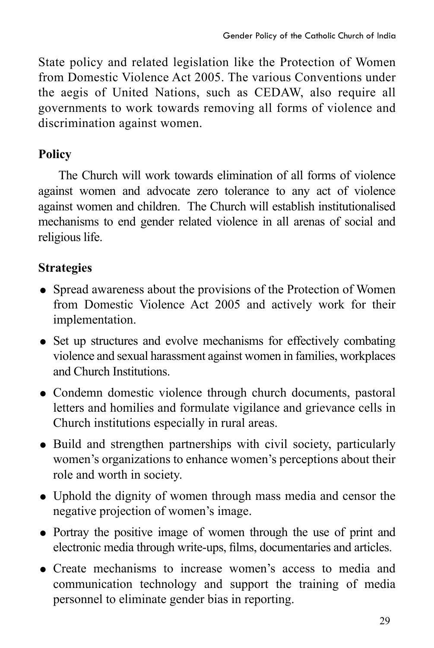State policy and related legislation like the Protection of Women from Domestic Violence Act 2005. The various Conventions under the aegis of United Nations, such as CEDAW, also require all governments to work towards removing all forms of violence and discrimination against women.

### **Policy**

The Church will work towards elimination of all forms of violence against women and advocate zero tolerance to any act of violence against women and children. The Church will establish institutionalised mechanisms to end gender related violence in all arenas of social and religious life.

- Spread awareness about the provisions of the Protection of Women from Domestic Violence Act 2005 and actively work for their implementation.
- Set up structures and evolve mechanisms for effectively combating violence and sexual harassment against women in families, workplaces and Church Institutions.
- Condemn domestic violence through church documents, pastoral letters and homilies and formulate vigilance and grievance cells in Church institutions especially in rural areas.
- Build and strengthen partnerships with civil society, particularly women's organizations to enhance women's perceptions about their role and worth in society.
- Uphold the dignity of women through mass media and censor the negative projection of women's image.
- Portray the positive image of women through the use of print and electronic media through write-ups, films, documentaries and articles.
- Create mechanisms to increase women's access to media and communication technology and support the training of media personnel to eliminate gender bias in reporting.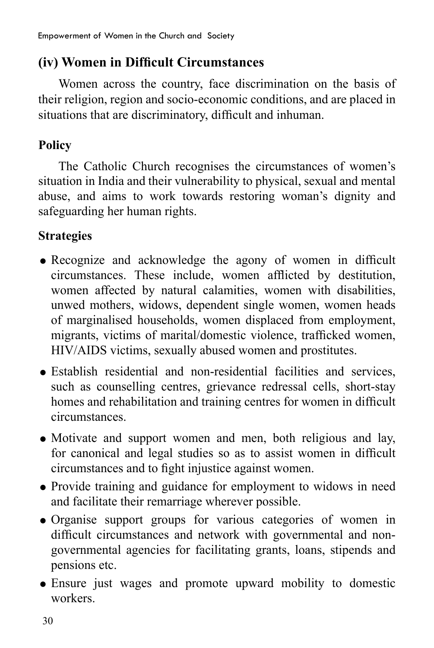# **(iv) Women in Difficult Circumstances**

Women across the country, face discrimination on the basis of their religion, region and socio-economic conditions, and are placed in situations that are discriminatory, difficult and inhuman.

## **Policy**

The Catholic Church recognises the circumstances of women's situation in India and their vulnerability to physical, sexual and mental abuse, and aims to work towards restoring woman's dignity and safeguarding her human rights.

- Recognize and acknowledge the agony of women in difficult circumstances. These include, women afflicted by destitution, women affected by natural calamities, women with disabilities, unwed mothers, widows, dependent single women, women heads of marginalised households, women displaced from employment, migrants, victims of marital/domestic violence, trafficked women, HIV/AIDS victims, sexually abused women and prostitutes.
- Establish residential and non-residential facilities and services, such as counselling centres, grievance redressal cells, short-stay homes and rehabilitation and training centres for women in difficult circumstances.
- Motivate and support women and men, both religious and lay, for canonical and legal studies so as to assist women in difficult circumstances and to fight injustice against women.
- Provide training and guidance for employment to widows in need and facilitate their remarriage wherever possible.
- Organise support groups for various categories of women in difficult circumstances and network with governmental and nongovernmental agencies for facilitating grants, loans, stipends and pensions etc.
- Ensure just wages and promote upward mobility to domestic workers.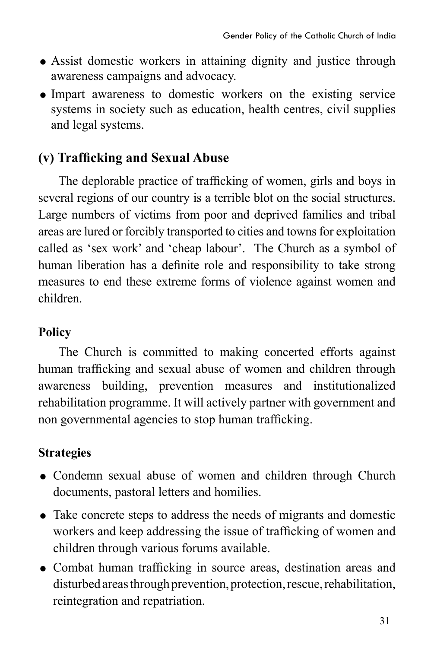- Assist domestic workers in attaining dignity and justice through awareness campaigns and advocacy.
- Impart awareness to domestic workers on the existing service systems in society such as education, health centres, civil supplies and legal systems.

# **(v) Trafficking and Sexual Abuse**

 The deplorable practice of trafficking of women, girls and boys in several regions of our country is a terrible blot on the social structures. Large numbers of victims from poor and deprived families and tribal areas are lured or forcibly transported to cities and towns for exploitation called as 'sex work' and 'cheap labour'. The Church as a symbol of human liberation has a definite role and responsibility to take strong measures to end these extreme forms of violence against women and children.

# **Policy**

The Church is committed to making concerted efforts against human trafficking and sexual abuse of women and children through awareness building, prevention measures and institutionalized rehabilitation programme. It will actively partner with government and non governmental agencies to stop human trafficking.

- Condemn sexual abuse of women and children through Church documents, pastoral letters and homilies.
- Take concrete steps to address the needs of migrants and domestic workers and keep addressing the issue of trafficking of women and children through various forums available.
- Combat human trafficking in source areas, destination areas and disturbed areas through prevention, protection, rescue, rehabilitation, reintegration and repatriation.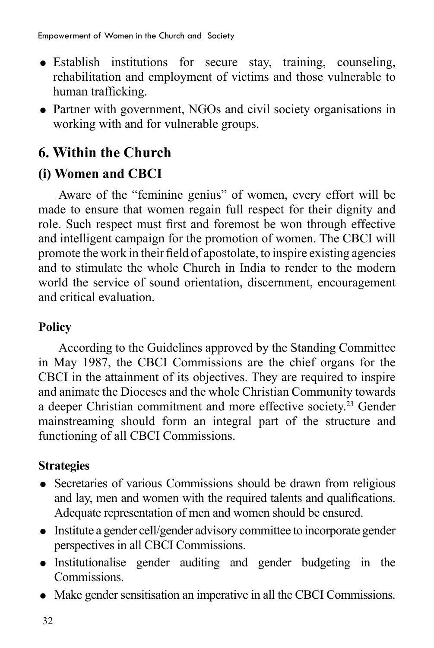- Establish institutions for secure stay, training, counseling, rehabilitation and employment of victims and those vulnerable to human trafficking.
- Partner with government, NGOs and civil society organisations in working with and for vulnerable groups.

# **6. Within the Church**

# **(i) Women and CBCI**

Aware of the "feminine genius" of women, every effort will be made to ensure that women regain full respect for their dignity and role. Such respect must first and foremost be won through effective and intelligent campaign for the promotion of women. The CBCI will promote the work in their field of apostolate, to inspire existing agencies and to stimulate the whole Church in India to render to the modern world the service of sound orientation, discernment, encouragement and critical evaluation.

# **Policy**

According to the Guidelines approved by the Standing Committee in May 1987, the CBCI Commissions are the chief organs for the CBCI in the attainment of its objectives. They are required to inspire and animate the Dioceses and the whole Christian Community towards a deeper Christian commitment and more effective society.23 Gender mainstreaming should form an integral part of the structure and functioning of all CBCI Commissions.

- Secretaries of various Commissions should be drawn from religious and lay, men and women with the required talents and qualifications. Adequate representation of men and women should be ensured.
- Institute a gender cell/gender advisory committee to incorporate gender perspectives in all CBCI Commissions.
- Institutionalise gender auditing and gender budgeting in the Commissions.
- Make gender sensitisation an imperative in all the CBCI Commissions.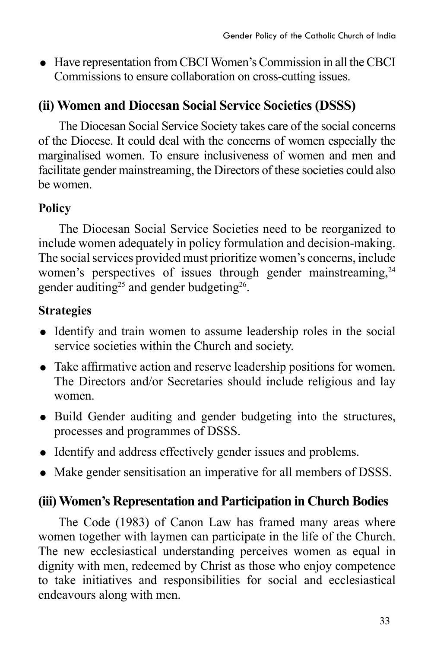Have representation from CBCI Women's Commission in all the CBCI Commissions to ensure collaboration on cross-cutting issues.

# **(ii) Women and Diocesan Social Service Societies (DSSS)**

The Diocesan Social Service Society takes care of the social concerns of the Diocese. It could deal with the concerns of women especially the marginalised women. To ensure inclusiveness of women and men and facilitate gender mainstreaming, the Directors of these societies could also be women.

### **Policy**

The Diocesan Social Service Societies need to be reorganized to include women adequately in policy formulation and decision-making. The social services provided must prioritize women's concerns, include women's perspectives of issues through gender mainstreaming, <sup>24</sup> gender auditing<sup>25</sup> and gender budgeting<sup>26</sup>.

# **Strategies**

- Identify and train women to assume leadership roles in the social service societies within the Church and society.
- Take affirmative action and reserve leadership positions for women. The Directors and/or Secretaries should include religious and lay women.
- Build Gender auditing and gender budgeting into the structures, processes and programmes of DSSS.
- Identify and address effectively gender issues and problems.
- Make gender sensitisation an imperative for all members of DSSS.

# **(iii) Women's Representation and Participation in Church Bodies**

The Code (1983) of Canon Law has framed many areas where women together with laymen can participate in the life of the Church. The new ecclesiastical understanding perceives women as equal in dignity with men, redeemed by Christ as those who enjoy competence to take initiatives and responsibilities for social and ecclesiastical endeavours along with men.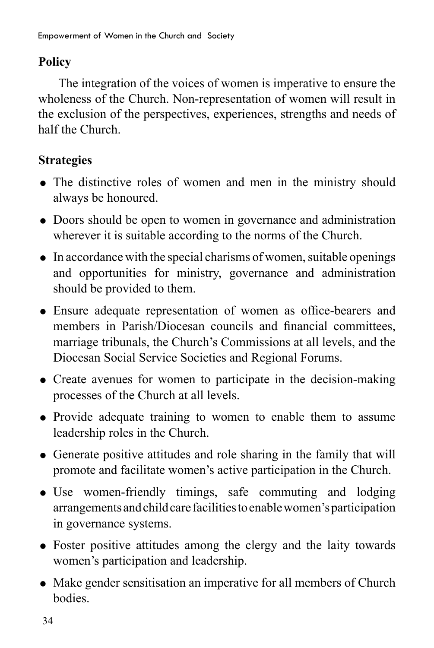## **Policy**

The integration of the voices of women is imperative to ensure the wholeness of the Church. Non-representation of women will result in the exclusion of the perspectives, experiences, strengths and needs of half the Church.

- The distinctive roles of women and men in the ministry should always be honoured.
- Doors should be open to women in governance and administration wherever it is suitable according to the norms of the Church.
- $\bullet$  In accordance with the special charisms of women, suitable openings and opportunities for ministry, governance and administration should be provided to them.
- Ensure adequate representation of women as office-bearers and members in Parish/Diocesan councils and financial committees, marriage tribunals, the Church's Commissions at all levels, and the Diocesan Social Service Societies and Regional Forums.
- Create avenues for women to participate in the decision-making processes of the Church at all levels.
- Provide adequate training to women to enable them to assume leadership roles in the Church.
- Generate positive attitudes and role sharing in the family that will promote and facilitate women's active participation in the Church.
- Use women-friendly timings, safe commuting and lodging arrangements and child care facilities to enable women's participation in governance systems.
- Foster positive attitudes among the clergy and the laity towards women's participation and leadership.
- Make gender sensitisation an imperative for all members of Church bodies.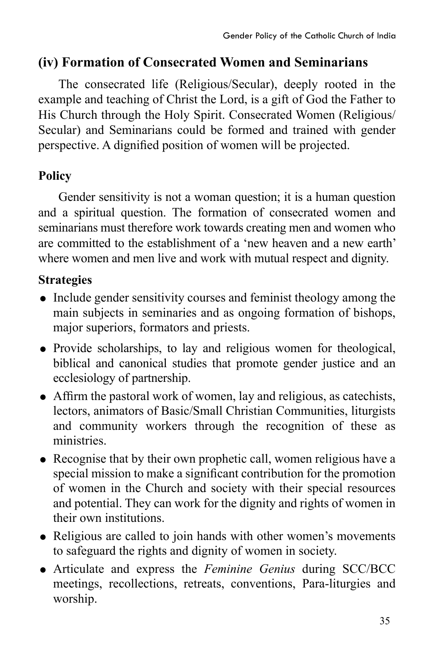### **(iv) Formation of Consecrated Women and Seminarians**

The consecrated life (Religious/Secular), deeply rooted in the example and teaching of Christ the Lord, is a gift of God the Father to His Church through the Holy Spirit. Consecrated Women (Religious/ Secular) and Seminarians could be formed and trained with gender perspective. A dignified position of women will be projected.

### **Policy**

Gender sensitivity is not a woman question; it is a human question and a spiritual question. The formation of consecrated women and seminarians must therefore work towards creating men and women who are committed to the establishment of a 'new heaven and a new earth' where women and men live and work with mutual respect and dignity.

- Include gender sensitivity courses and feminist theology among the main subjects in seminaries and as ongoing formation of bishops, major superiors, formators and priests.
- Provide scholarships, to lay and religious women for theological, biblical and canonical studies that promote gender justice and an ecclesiology of partnership.
- Affirm the pastoral work of women, lay and religious, as catechists, lectors, animators of Basic/Small Christian Communities, liturgists and community workers through the recognition of these as ministries.
- Recognise that by their own prophetic call, women religious have a special mission to make a significant contribution for the promotion of women in the Church and society with their special resources and potential. They can work for the dignity and rights of women in their own institutions.
- Religious are called to join hands with other women's movements to safeguard the rights and dignity of women in society.
- Articulate and express the *Feminine Genius* during SCC/BCC meetings, recollections, retreats, conventions, Para-liturgies and worship.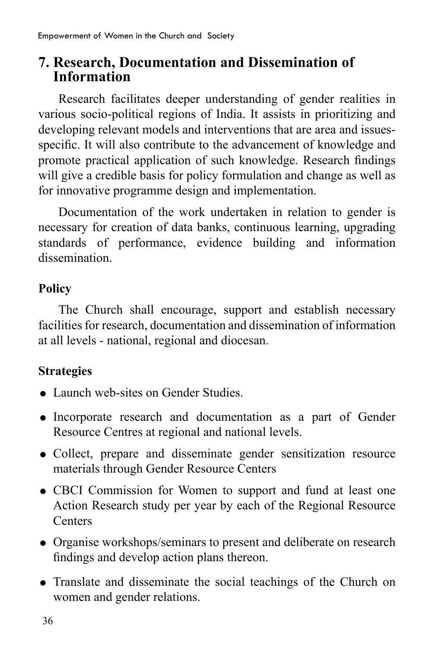# **7. Research, Documentation and Dissemination of Information**

Research facilitates deeper understanding of gender realities in various socio-political regions of India. It assists in prioritizing and developing relevant models and interventions that are area and issuesspecific. It will also contribute to the advancement of knowledge and promote practical application of such knowledge. Research findings will give a credible basis for policy formulation and change as well as for innovative programme design and implementation.

Documentation of the work undertaken in relation to gender is necessary for creation of data banks, continuous learning, upgrading standards of performance, evidence building and information dissemination.

### **Policy**

The Church shall encourage, support and establish necessary facilities for research, documentation and dissemination of information at all levels - national, regional and diocesan.

- Launch web-sites on Gender Studies.
- Incorporate research and documentation as a part of Gender Resource Centres at regional and national levels.
- Collect, prepare and disseminate gender sensitization resource materials through Gender Resource Centers
- CBCI Commission for Women to support and fund at least one Action Research study per year by each of the Regional Resource Centers
- Organise workshops/seminars to present and deliberate on research findings and develop action plans thereon.
- Translate and disseminate the social teachings of the Church on women and gender relations.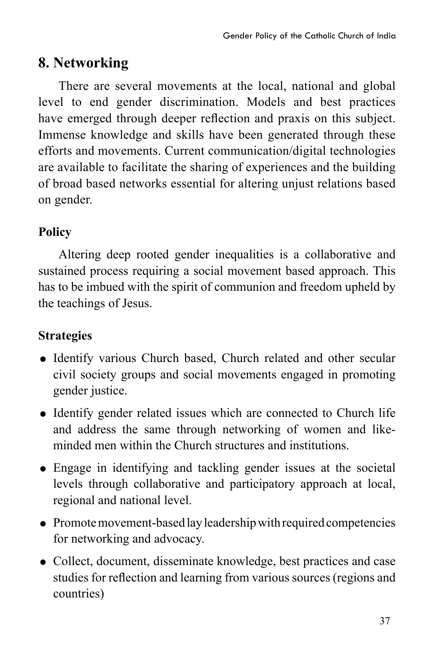# **8. Networking**

There are several movements at the local, national and global level to end gender discrimination. Models and best practices have emerged through deeper reflection and praxis on this subject. Immense knowledge and skills have been generated through these efforts and movements. Current communication/digital technologies are available to facilitate the sharing of experiences and the building of broad based networks essential for altering unjust relations based on gender.

# **Policy**

Altering deep rooted gender inequalities is a collaborative and sustained process requiring a social movement based approach. This has to be imbued with the spirit of communion and freedom upheld by the teachings of Jesus.

- Identify various Church based, Church related and other secular civil society groups and social movements engaged in promoting gender justice.
- Identify gender related issues which are connected to Church life and address the same through networking of women and likeminded men within the Church structures and institutions.
- Engage in identifying and tackling gender issues at the societal levels through collaborative and participatory approach at local, regional and national level.
- Promote movement-based lay leadership with required competencies for networking and advocacy.
- Collect, document, disseminate knowledge, best practices and case studies for reflection and learning from various sources (regions and countries)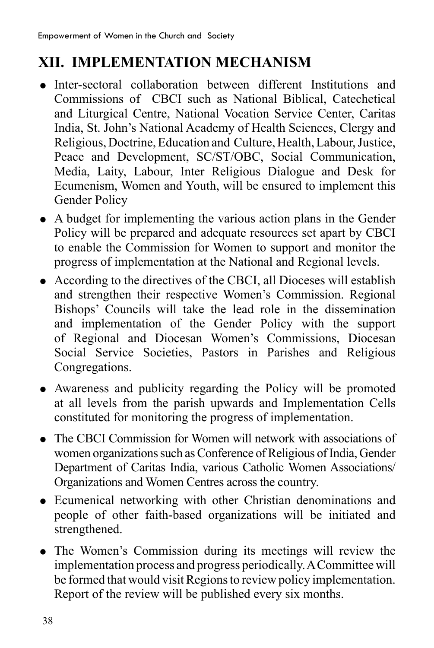# **XII. IMPLEMENTATION MECHANISM**

- Inter-sectoral collaboration between different Institutions and Commissions of CBCI such as National Biblical, Catechetical and Liturgical Centre, National Vocation Service Center, Caritas India, St. John's National Academy of Health Sciences, Clergy and Religious, Doctrine, Education and Culture, Health, Labour, Justice, Peace and Development, SC/ST/OBC, Social Communication, Media, Laity, Labour, Inter Religious Dialogue and Desk for Ecumenism, Women and Youth, will be ensured to implement this Gender Policy
- A budget for implementing the various action plans in the Gender Policy will be prepared and adequate resources set apart by CBCI to enable the Commission for Women to support and monitor the progress of implementation at the National and Regional levels.
- According to the directives of the CBCI, all Dioceses will establish and strengthen their respective Women's Commission. Regional Bishops' Councils will take the lead role in the dissemination and implementation of the Gender Policy with the support of Regional and Diocesan Women's Commissions, Diocesan Social Service Societies, Pastors in Parishes and Religious Congregations.
- Awareness and publicity regarding the Policy will be promoted at all levels from the parish upwards and Implementation Cells constituted for monitoring the progress of implementation.
- The CBCI Commission for Women will network with associations of women organizations such as Conference of Religious of India, Gender Department of Caritas India, various Catholic Women Associations/ Organizations and Women Centres across the country.
- Ecumenical networking with other Christian denominations and people of other faith-based organizations will be initiated and strengthened.
- The Women's Commission during its meetings will review the implementation process and progress periodically. A Committee will be formed that would visit Regions to review policy implementation. Report of the review will be published every six months.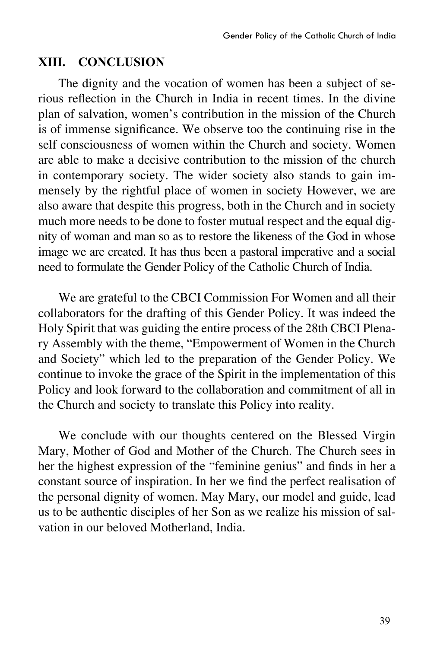#### **XIII. CONCLUSION**

The dignity and the vocation of women has been a subject of serious reflection in the Church in India in recent times. In the divine plan of salvation, women's contribution in the mission of the Church is of immense significance. We observe too the continuing rise in the self consciousness of women within the Church and society. Women are able to make a decisive contribution to the mission of the church in contemporary society. The wider society also stands to gain immensely by the rightful place of women in society However, we are also aware that despite this progress, both in the Church and in society much more needs to be done to foster mutual respect and the equal dignity of woman and man so as to restore the likeness of the God in whose image we are created. It has thus been a pastoral imperative and a social need to formulate the Gender Policy of the Catholic Church of India.

We are grateful to the CBCI Commission For Women and all their collaborators for the drafting of this Gender Policy. It was indeed the Holy Spirit that was guiding the entire process of the 28th CBCI Plenary Assembly with the theme, "Empowerment of Women in the Church and Society" which led to the preparation of the Gender Policy. We continue to invoke the grace of the Spirit in the implementation of this Policy and look forward to the collaboration and commitment of all in the Church and society to translate this Policy into reality.

We conclude with our thoughts centered on the Blessed Virgin Mary, Mother of God and Mother of the Church. The Church sees in her the highest expression of the "feminine genius" and finds in her a constant source of inspiration. In her we find the perfect realisation of the personal dignity of women. May Mary, our model and guide, lead us to be authentic disciples of her Son as we realize his mission of salvation in our beloved Motherland, India.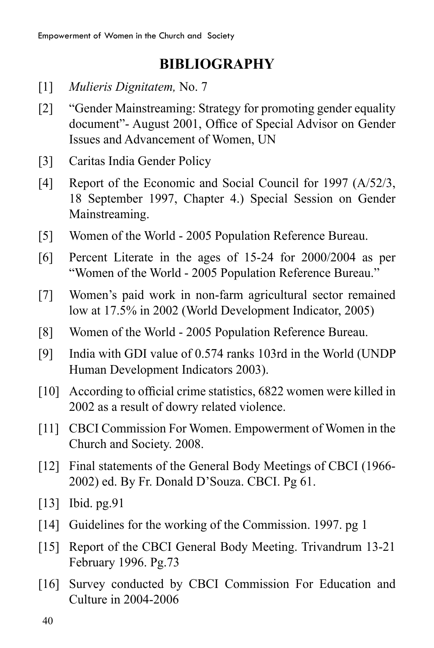# **BIBLIOGRAPHY**

- [1] *Mulieris Dignitatem,* No. 7
- [2] "Gender Mainstreaming: Strategy for promoting gender equality document"- August 2001, Office of Special Advisor on Gender Issues and Advancement of Women, UN
- [3] Caritas India Gender Policy
- [4] Report of the Economic and Social Council for 1997 (A/52/3, 18 September 1997, Chapter 4.) Special Session on Gender Mainstreaming.
- [5] Women of the World 2005 Population Reference Bureau.
- [6] Percent Literate in the ages of 15-24 for 2000/2004 as per "Women of the World - 2005 Population Reference Bureau."
- [7] Women's paid work in non-farm agricultural sector remained low at 17.5% in 2002 (World Development Indicator, 2005)
- [8] Women of the World 2005 Population Reference Bureau.
- [9] India with GDI value of 0.574 ranks 103rd in the World (UNDP Human Development Indicators 2003).
- [10] According to official crime statistics, 6822 women were killed in 2002 as a result of dowry related violence.
- [11] CBCI Commission For Women. Empowerment of Women in the Church and Society. 2008.
- [12] Final statements of the General Body Meetings of CBCI (1966-2002) ed. By Fr. Donald D'Souza. CBCI. Pg 61.
- [13] Ibid. pg. 91
- [14] Guidelines for the working of the Commission. 1997. pg 1
- [15] Report of the CBCI General Body Meeting. Trivandrum 13-21 February 1996. Pg.73
- [16] Survey conducted by CBCI Commission For Education and Culture in 2004-2006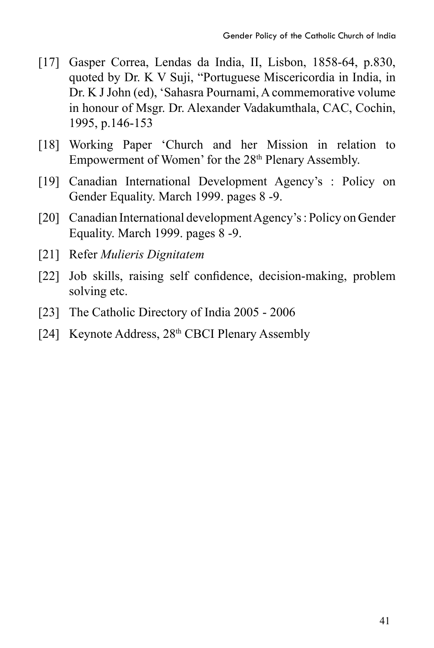- [17] Gasper Correa, Lendas da India, II, Lisbon, 1858-64, p.830, quoted by Dr. K V Suji, "Portuguese Miscericordia in India, in Dr. K J John (ed), 'Sahasra Pournami, A commemorative volume in honour of Msgr. Dr. Alexander Vadakumthala, CAC, Cochin, 1995, p.146-153
- [18] Working Paper 'Church and her Mission in relation to Empowerment of Women' for the 28<sup>th</sup> Plenary Assembly.
- [19] Canadian International Development Agency's : Policy on Gender Equality. March 1999. pages 8 -9.
- [20] Canadian International development Agency's : Policy on Gender Equality. March 1999. pages 8 -9.
- [21] Refer *Mulieris Dignitatem*
- [22] Job skills, raising self confidence, decision-making, problem solving etc.
- [23] The Catholic Directory of India 2005 2006
- [24] Keynote Address, 28<sup>th</sup> CBCI Plenary Assembly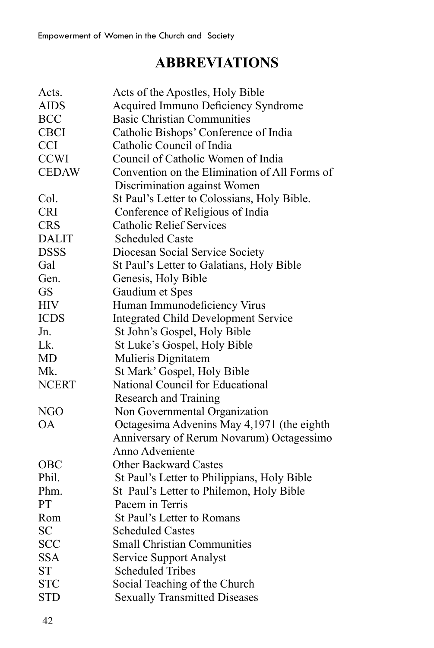# **ABBREVIATIONS**

| Acts.        | Acts of the Apostles, Holy Bible              |
|--------------|-----------------------------------------------|
| <b>AIDS</b>  | Acquired Immuno Deficiency Syndrome           |
| <b>BCC</b>   | <b>Basic Christian Communities</b>            |
| <b>CBCI</b>  | Catholic Bishops' Conference of India         |
| <b>CCI</b>   | Catholic Council of India                     |
| <b>CCWI</b>  | Council of Catholic Women of India            |
| <b>CEDAW</b> | Convention on the Elimination of All Forms of |
|              | Discrimination against Women                  |
| Col.         | St Paul's Letter to Colossians, Holy Bible.   |
| <b>CRI</b>   | Conference of Religious of India              |
| <b>CRS</b>   | <b>Catholic Relief Services</b>               |
| <b>DALIT</b> | <b>Scheduled Caste</b>                        |
| <b>DSSS</b>  | Diocesan Social Service Society               |
| Gal          | St Paul's Letter to Galatians, Holy Bible     |
| Gen.         | Genesis, Holy Bible                           |
| <b>GS</b>    | Gaudium et Spes                               |
| <b>HIV</b>   | Human Immunodeficiency Virus                  |
| <b>ICDS</b>  | <b>Integrated Child Development Service</b>   |
| Jn.          | St John's Gospel, Holy Bible                  |
| Lk.          | St Luke's Gospel, Holy Bible                  |
| <b>MD</b>    | Mulieris Dignitatem                           |
| Mk.          | St Mark' Gospel, Holy Bible                   |
| <b>NCERT</b> | National Council for Educational              |
|              | <b>Research and Training</b>                  |
| NGO          | Non Governmental Organization                 |
| OА           | Octagesima Advenins May 4,1971 (the eighth    |
|              | Anniversary of Rerum Novarum) Octagessimo     |
|              | Anno Adveniente                               |
| OBC          | <b>Other Backward Castes</b>                  |
| Phil.        | St Paul's Letter to Philippians, Holy Bible   |
| Phm.         | St Paul's Letter to Philemon, Holy Bible      |
| PT           | Pacem in Terris                               |
| Rom          | St Paul's Letter to Romans                    |
| <b>SC</b>    | <b>Scheduled Castes</b>                       |
| <b>SCC</b>   | <b>Small Christian Communities</b>            |
| <b>SSA</b>   | <b>Service Support Analyst</b>                |
| <b>ST</b>    | <b>Scheduled Tribes</b>                       |
| <b>STC</b>   | Social Teaching of the Church                 |
| <b>STD</b>   | <b>Sexually Transmitted Diseases</b>          |
|              |                                               |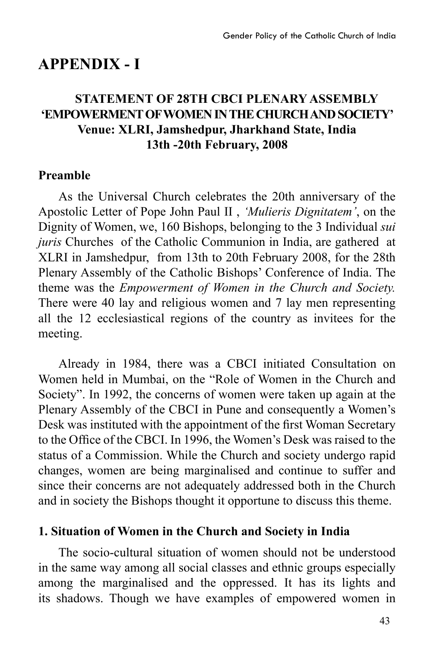# **APPENDIX - I**

### **STATEMENT OF 28TH CBCI PLENARY ASSEMBLY 'EMPOWERMENT OF WOMEN IN THE CHURCH AND SOCIETY' Venue: XLRI, Jamshedpur, Jharkhand State, India 13th -20th February, 2008**

#### **Preamble**

As the Universal Church celebrates the 20th anniversary of the Apostolic Letter of Pope John Paul II , *'Mulieris Dignitatem'*, on the Dignity of Women, we, 160 Bishops, belonging to the 3 Individual *sui juris* Churches of the Catholic Communion in India, are gathered at XLRI in Jamshedpur, from 13th to 20th February 2008, for the 28th Plenary Assembly of the Catholic Bishops' Conference of India. The theme was the *Empowerment of Women in the Church and Society.* There were 40 lay and religious women and 7 lay men representing all the 12 ecclesiastical regions of the country as invitees for the meeting.

Already in 1984, there was a CBCI initiated Consultation on Women held in Mumbai, on the "Role of Women in the Church and Society". In 1992, the concerns of women were taken up again at the Plenary Assembly of the CBCI in Pune and consequently a Women's Desk was instituted with the appointment of the first Woman Secretary to the Office of the CBCI. In 1996, the Women's Desk was raised to the status of a Commission. While the Church and society undergo rapid changes, women are being marginalised and continue to suffer and since their concerns are not adequately addressed both in the Church and in society the Bishops thought it opportune to discuss this theme.

### **1. Situation of Women in the Church and Society in India**

The socio-cultural situation of women should not be understood in the same way among all social classes and ethnic groups especially among the marginalised and the oppressed. It has its lights and its shadows. Though we have examples of empowered women in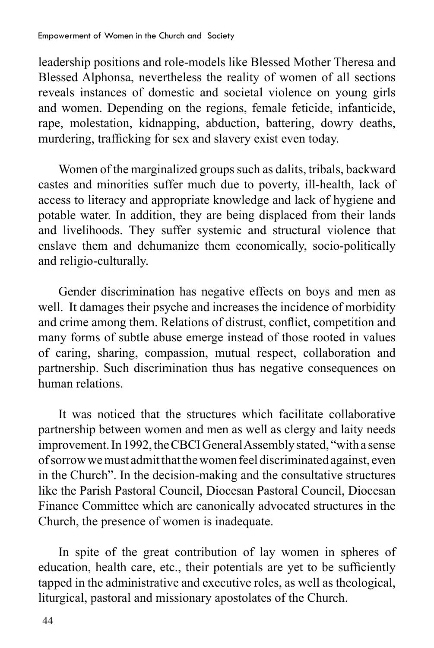leadership positions and role-models like Blessed Mother Theresa and Blessed Alphonsa, nevertheless the reality of women of all sections reveals instances of domestic and societal violence on young girls and women. Depending on the regions, female feticide, infanticide, rape, molestation, kidnapping, abduction, battering, dowry deaths, murdering, trafficking for sex and slavery exist even today.

Women of the marginalized groups such as dalits, tribals, backward castes and minorities suffer much due to poverty, ill-health, lack of access to literacy and appropriate knowledge and lack of hygiene and potable water. In addition, they are being displaced from their lands and livelihoods. They suffer systemic and structural violence that enslave them and dehumanize them economically, socio-politically and religio-culturally.

Gender discrimination has negative effects on boys and men as well. It damages their psyche and increases the incidence of morbidity and crime among them. Relations of distrust, conflict, competition and many forms of subtle abuse emerge instead of those rooted in values of caring, sharing, compassion, mutual respect, collaboration and partnership. Such discrimination thus has negative consequences on human relations.

It was noticed that the structures which facilitate collaborative partnership between women and men as well as clergy and laity needs improvement. In 1992, the CBCI General Assembly stated, "with a sense of sorrow we must admit that the women feel discriminated against, even in the Church". In the decision-making and the consultative structures like the Parish Pastoral Council, Diocesan Pastoral Council, Diocesan Finance Committee which are canonically advocated structures in the Church, the presence of women is inadequate.

In spite of the great contribution of lay women in spheres of education, health care, etc., their potentials are yet to be sufficiently tapped in the administrative and executive roles, as well as theological, liturgical, pastoral and missionary apostolates of the Church.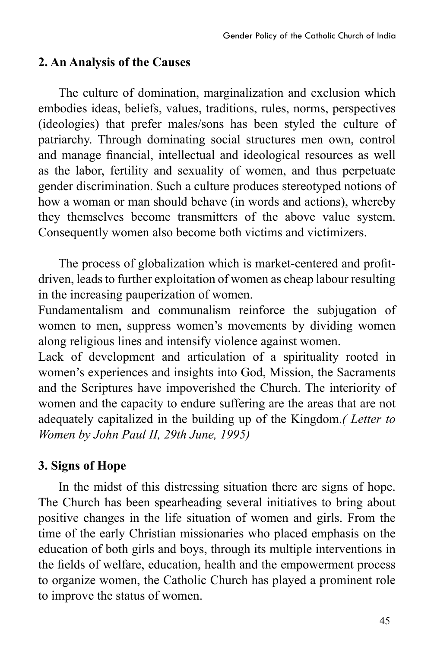#### **2. An Analysis of the Causes**

The culture of domination, marginalization and exclusion which embodies ideas, beliefs, values, traditions, rules, norms, perspectives (ideologies) that prefer males/sons has been styled the culture of patriarchy. Through dominating social structures men own, control and manage financial, intellectual and ideological resources as well as the labor, fertility and sexuality of women, and thus perpetuate gender discrimination. Such a culture produces stereotyped notions of how a woman or man should behave (in words and actions), whereby they themselves become transmitters of the above value system. Consequently women also become both victims and victimizers.

 The process of globalization which is market-centered and profitdriven, leads to further exploitation of women as cheap labour resulting in the increasing pauperization of women.

Fundamentalism and communalism reinforce the subjugation of women to men, suppress women's movements by dividing women along religious lines and intensify violence against women.

Lack of development and articulation of a spirituality rooted in women's experiences and insights into God, Mission, the Sacraments and the Scriptures have impoverished the Church. The interiority of women and the capacity to endure suffering are the areas that are not adequately capitalized in the building up of the Kingdom.*( Letter to Women by John Paul II, 29th June, 1995)* 

### **3. Signs of Hope**

In the midst of this distressing situation there are signs of hope. The Church has been spearheading several initiatives to bring about positive changes in the life situation of women and girls. From the time of the early Christian missionaries who placed emphasis on the education of both girls and boys, through its multiple interventions in the fields of welfare, education, health and the empowerment process to organize women, the Catholic Church has played a prominent role to improve the status of women.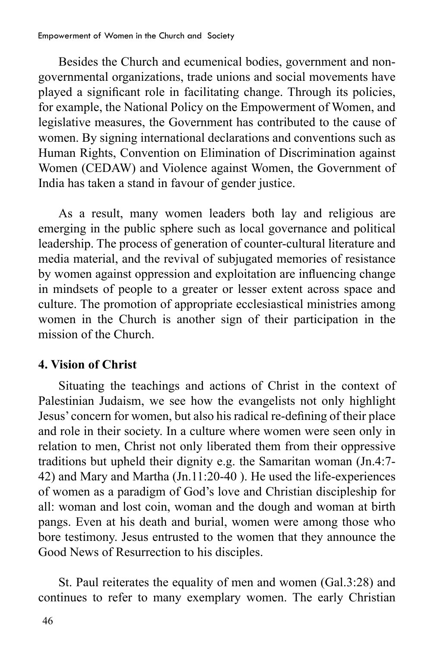Besides the Church and ecumenical bodies, government and nongovernmental organizations, trade unions and social movements have played a significant role in facilitating change. Through its policies, for example, the National Policy on the Empowerment of Women, and legislative measures, the Government has contributed to the cause of women. By signing international declarations and conventions such as Human Rights, Convention on Elimination of Discrimination against Women (CEDAW) and Violence against Women, the Government of India has taken a stand in favour of gender justice.

As a result, many women leaders both lay and religious are emerging in the public sphere such as local governance and political leadership. The process of generation of counter-cultural literature and media material, and the revival of subjugated memories of resistance by women against oppression and exploitation are influencing change in mindsets of people to a greater or lesser extent across space and culture. The promotion of appropriate ecclesiastical ministries among women in the Church is another sign of their participation in the mission of the Church.

### **4. Vision of Christ**

Situating the teachings and actions of Christ in the context of Palestinian Judaism, we see how the evangelists not only highlight Jesus' concern for women, but also his radical re-defining of their place and role in their society. In a culture where women were seen only in relation to men, Christ not only liberated them from their oppressive traditions but upheld their dignity e.g. the Samaritan woman (Jn.4:7- 42) and Mary and Martha (Jn.11:20-40 ). He used the life-experiences of women as a paradigm of God's love and Christian discipleship for all: woman and lost coin, woman and the dough and woman at birth pangs. Even at his death and burial, women were among those who bore testimony. Jesus entrusted to the women that they announce the Good News of Resurrection to his disciples.

St. Paul reiterates the equality of men and women (Gal.3:28) and continues to refer to many exemplary women. The early Christian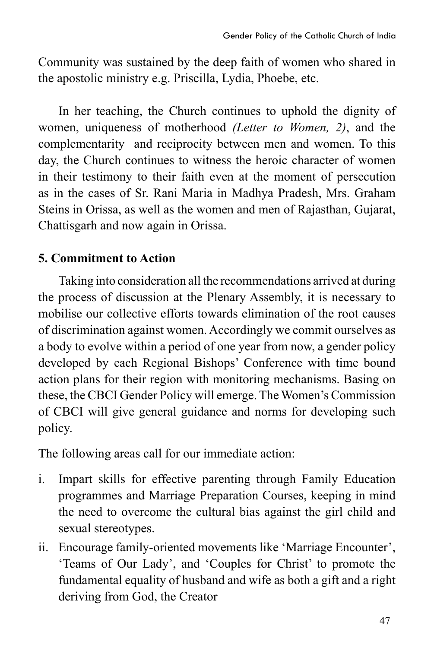Community was sustained by the deep faith of women who shared in the apostolic ministry e.g. Priscilla, Lydia, Phoebe, etc.

In her teaching, the Church continues to uphold the dignity of women, uniqueness of motherhood *(Letter to Women, 2)*, and the complementarity and reciprocity between men and women. To this day, the Church continues to witness the heroic character of women in their testimony to their faith even at the moment of persecution as in the cases of Sr. Rani Maria in Madhya Pradesh, Mrs. Graham Steins in Orissa, as well as the women and men of Rajasthan, Gujarat, Chattisgarh and now again in Orissa.

### **5. Commitment to Action**

Taking into consideration all the recommendations arrived at during the process of discussion at the Plenary Assembly, it is necessary to mobilise our collective efforts towards elimination of the root causes of discrimination against women. Accordingly we commit ourselves as a body to evolve within a period of one year from now, a gender policy developed by each Regional Bishops' Conference with time bound action plans for their region with monitoring mechanisms. Basing on these, the CBCI Gender Policy will emerge. The Women's Commission of CBCI will give general guidance and norms for developing such policy.

The following areas call for our immediate action:

- i. Impart skills for effective parenting through Family Education programmes and Marriage Preparation Courses, keeping in mind the need to overcome the cultural bias against the girl child and sexual stereotypes.
- ii. Encourage family-oriented movements like 'Marriage Encounter', 'Teams of Our Lady', and 'Couples for Christ' to promote the fundamental equality of husband and wife as both a gift and a right deriving from God, the Creator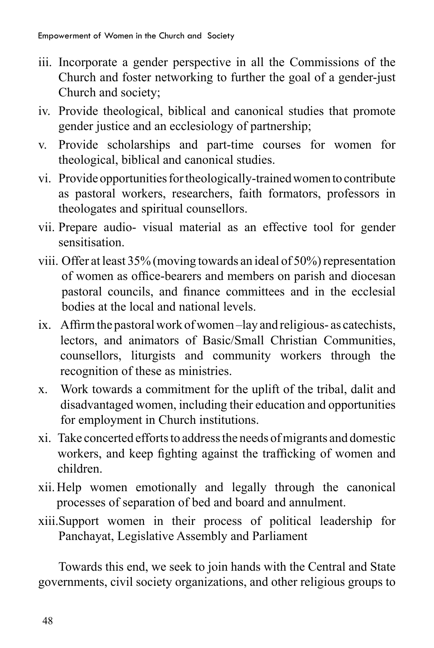- iii. Incorporate a gender perspective in all the Commissions of the Church and foster networking to further the goal of a gender-just Church and society;
- iv. Provide theological, biblical and canonical studies that promote gender justice and an ecclesiology of partnership;
- v. Provide scholarships and part-time courses for women for theological, biblical and canonical studies.
- vi. Provide opportunities for theologically-trained women to contribute as pastoral workers, researchers, faith formators, professors in theologates and spiritual counsellors.
- vii. Prepare audio- visual material as an effective tool for gender sensitisation.
- viii. Offer at least 35% (moving towards an ideal of 50%) representation of women as office-bearers and members on parish and diocesan pastoral councils, and finance committees and in the ecclesial bodies at the local and national levels.
- ix. Affirm the pastoral work of women-lay and religious- as catechists, lectors, and animators of Basic/Small Christian Communities, counsellors, liturgists and community workers through the recognition of these as ministries.
- x. Work towards a commitment for the uplift of the tribal, dalit and disadvantaged women, including their education and opportunities for employment in Church institutions.
- xi. Take concerted efforts to address the needs of migrants and domestic workers, and keep fighting against the trafficking of women and children.
- xii.Help women emotionally and legally through the canonical processes of separation of bed and board and annulment.
- xiii.Support women in their process of political leadership for Panchayat, Legislative Assembly and Parliament

Towards this end, we seek to join hands with the Central and State governments, civil society organizations, and other religious groups to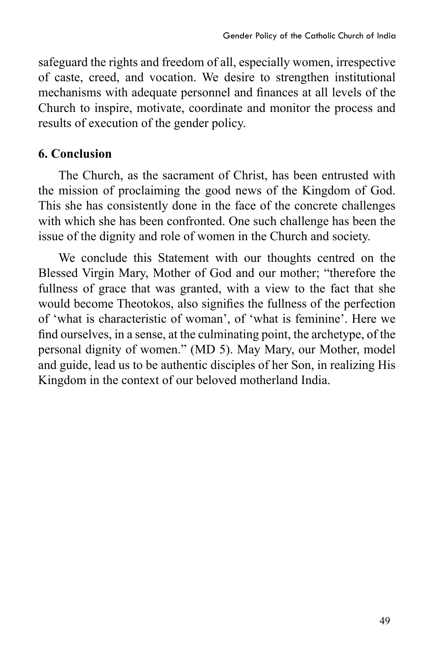safeguard the rights and freedom of all, especially women, irrespective of caste, creed, and vocation. We desire to strengthen institutional mechanisms with adequate personnel and finances at all levels of the Church to inspire, motivate, coordinate and monitor the process and results of execution of the gender policy.

### **6. Conclusion**

The Church, as the sacrament of Christ, has been entrusted with the mission of proclaiming the good news of the Kingdom of God. This she has consistently done in the face of the concrete challenges with which she has been confronted. One such challenge has been the issue of the dignity and role of women in the Church and society.

We conclude this Statement with our thoughts centred on the Blessed Virgin Mary, Mother of God and our mother; "therefore the fullness of grace that was granted, with a view to the fact that she would become Theotokos, also signifies the fullness of the perfection of 'what is characteristic of woman', of 'what is feminine'. Here we find ourselves, in a sense, at the culminating point, the archetype, of the personal dignity of women." (MD 5). May Mary, our Mother, model and guide, lead us to be authentic disciples of her Son, in realizing His Kingdom in the context of our beloved motherland India.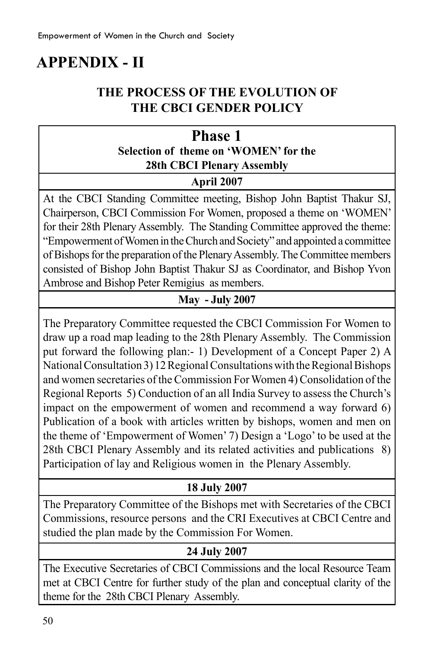# **APPENDIX - II**

### **The Process of the Evolution of the CBCI Gender Policy**

### **Phase 1 Selection of theme on 'WOMEN' for the 28th CBCI Plenary Assembly**

#### **April 2007**

At the CBCI Standing Committee meeting, Bishop John Baptist Thakur SJ, Chairperson, CBCI Commission For Women, proposed a theme on 'WOMEN' for their 28th Plenary Assembly. The Standing Committee approved the theme: "Empowerment of Women in the Church and Society" and appointed a committee of Bishops for the preparation of the Plenary Assembly. The Committee members consisted of Bishop John Baptist Thakur SJ as Coordinator, and Bishop Yvon Ambrose and Bishop Peter Remigius as members.

### **May - July 2007**

The Preparatory Committee requested the CBCI Commission For Women to draw up a road map leading to the 28th Plenary Assembly. The Commission put forward the following plan:- 1) Development of a Concept Paper 2) A National Consultation 3) 12 Regional Consultations with the Regional Bishops and women secretaries of the Commission For Women 4) Consolidation of the Regional Reports 5) Conduction of an all India Survey to assess the Church's impact on the empowerment of women and recommend a way forward 6) Publication of a book with articles written by bishops, women and men on the theme of 'Empowerment of Women' 7) Design a 'Logo' to be used at the 28th CBCI Plenary Assembly and its related activities and publications 8) Participation of lay and Religious women in the Plenary Assembly.

#### **18 July 2007**

The Preparatory Committee of the Bishops met with Secretaries of the CBCI Commissions, resource persons and the CRI Executives at CBCI Centre and studied the plan made by the Commission For Women.

#### **24 July 2007**

The Executive Secretaries of CBCI Commissions and the local Resource Team met at CBCI Centre for further study of the plan and conceptual clarity of the theme for the 28th CBCI Plenary Assembly.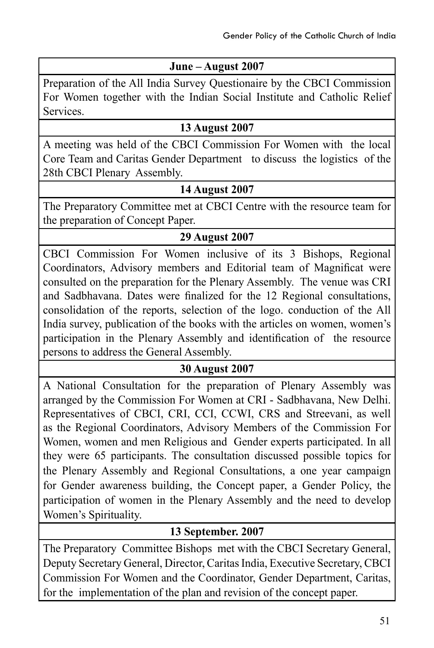### **June – August 2007**

Preparation of the All India Survey Questionaire by the CBCI Commission For Women together with the Indian Social Institute and Catholic Relief Services.

#### **13 August 2007**

A meeting was held of the CBCI Commission For Women with the local Core Team and Caritas Gender Department to discuss the logistics of the 28th CBCI Plenary Assembly.

#### **14 August 2007**

The Preparatory Committee met at CBCI Centre with the resource team for the preparation of Concept Paper.

### **29 August 2007**

CBCI Commission For Women inclusive of its 3 Bishops, Regional Coordinators, Advisory members and Editorial team of Magnificat were consulted on the preparation for the Plenary Assembly. The venue was CRI and Sadbhavana. Dates were finalized for the 12 Regional consultations, consolidation of the reports, selection of the logo. conduction of the All India survey, publication of the books with the articles on women, women's participation in the Plenary Assembly and identification of the resource persons to address the General Assembly.

#### **30 August 2007**

A National Consultation for the preparation of Plenary Assembly was arranged by the Commission For Women at CRI - Sadbhavana, New Delhi. Representatives of CBCI, CRI, CCI, CCWI, CRS and Streevani, as well as the Regional Coordinators, Advisory Members of the Commission For Women, women and men Religious and Gender experts participated. In all they were 65 participants. The consultation discussed possible topics for the Plenary Assembly and Regional Consultations, a one year campaign for Gender awareness building, the Concept paper, a Gender Policy, the participation of women in the Plenary Assembly and the need to develop Women's Spirituality.

#### **13 September. 2007**

The Preparatory Committee Bishops met with the CBCI Secretary General, Deputy Secretary General, Director, Caritas India, Executive Secretary, CBCI Commission For Women and the Coordinator, Gender Department, Caritas, for the implementation of the plan and revision of the concept paper.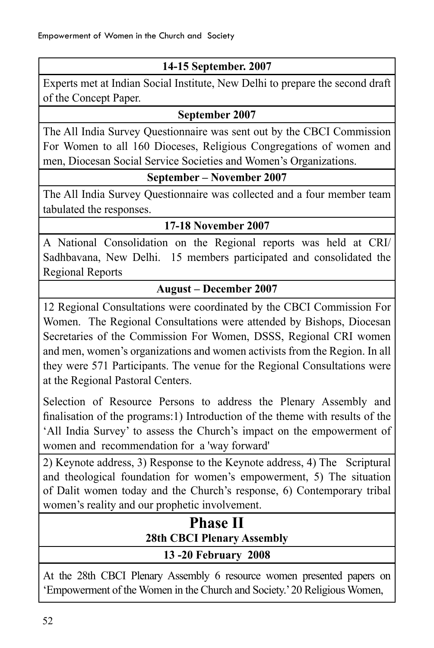### **14-15 September. 2007**

Experts met at Indian Social Institute, New Delhi to prepare the second draft of the Concept Paper.

#### **September 2007**

The All India Survey Questionnaire was sent out by the CBCI Commission For Women to all 160 Dioceses, Religious Congregations of women and men, Diocesan Social Service Societies and Women's Organizations.

#### **September – November 2007**

The All India Survey Questionnaire was collected and a four member team tabulated the responses.

#### **17-18 November 2007**

A National Consolidation on the Regional reports was held at CRI/ Sadhbavana, New Delhi. 15 members participated and consolidated the Regional Reports

#### **August – December 2007**

12 Regional Consultations were coordinated by the CBCI Commission For Women. The Regional Consultations were attended by Bishops, Diocesan Secretaries of the Commission For Women, DSSS, Regional CRI women and men, women's organizations and women activists from the Region. In all they were 571 Participants. The venue for the Regional Consultations were at the Regional Pastoral Centers.

Selection of Resource Persons to address the Plenary Assembly and finalisation of the programs:1) Introduction of the theme with results of the 'All India Survey' to assess the Church's impact on the empowerment of women and recommendation for a 'way forward'

2) Keynote address, 3) Response to the Keynote address, 4) The Scriptural and theological foundation for women's empowerment, 5) The situation of Dalit women today and the Church's response, 6) Contemporary tribal women's reality and our prophetic involvement.

## **Phase II 28th CBCI Plenary Assembly 13 -20 February 2008**

At the 28th CBCI Plenary Assembly 6 resource women presented papers on 'Empowerment of the Women in the Church and Society.' 20 Religious Women,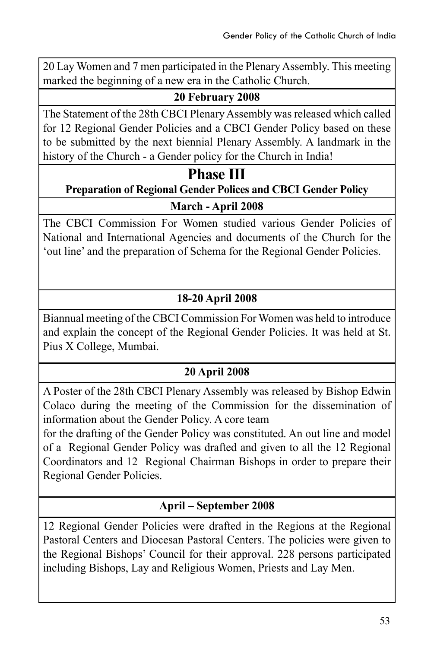20 Lay Women and 7 men participated in the Plenary Assembly. This meeting marked the beginning of a new era in the Catholic Church.

#### **20 February 2008**

The Statement of the 28th CBCI Plenary Assembly was released which called for 12 Regional Gender Policies and a CBCI Gender Policy based on these to be submitted by the next biennial Plenary Assembly. A landmark in the history of the Church - a Gender policy for the Church in India!

### **Phase III**

### **Preparation of Regional Gender Polices and CBCI Gender Policy**

#### **March - April 2008**

The CBCI Commission For Women studied various Gender Policies of National and International Agencies and documents of the Church for the 'out line' and the preparation of Schema for the Regional Gender Policies.

### **18-20 April 2008**

Biannual meeting of the CBCI Commission For Women was held to introduce and explain the concept of the Regional Gender Policies. It was held at St. Pius X College, Mumbai.

### **20 April 2008**

A Poster of the 28th CBCI Plenary Assembly was released by Bishop Edwin Colaco during the meeting of the Commission for the dissemination of information about the Gender Policy. A core team

for the drafting of the Gender Policy was constituted. An out line and model of a Regional Gender Policy was drafted and given to all the 12 Regional Coordinators and 12 Regional Chairman Bishops in order to prepare their Regional Gender Policies.

### **April – September 2008**

12 Regional Gender Policies were drafted in the Regions at the Regional Pastoral Centers and Diocesan Pastoral Centers. The policies were given to the Regional Bishops' Council for their approval. 228 persons participated including Bishops, Lay and Religious Women, Priests and Lay Men.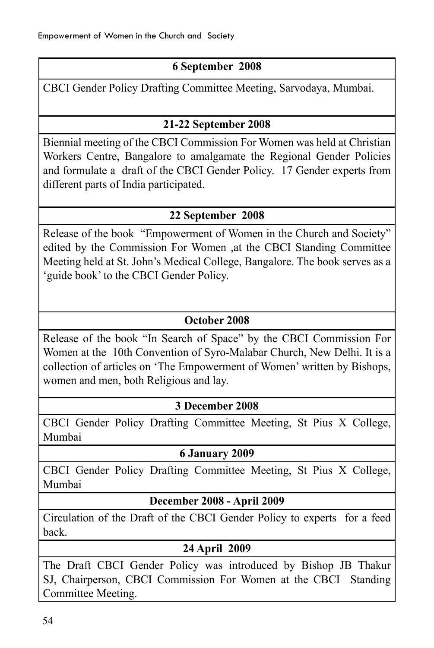### **6 September 2008**

CBCI Gender Policy Drafting Committee Meeting, Sarvodaya, Mumbai.

### **21-22 September 2008**

Biennial meeting of the CBCI Commission For Women was held at Christian Workers Centre, Bangalore to amalgamate the Regional Gender Policies and formulate a draft of the CBCI Gender Policy. 17 Gender experts from different parts of India participated.

### **22 September 2008**

Release of the book "Empowerment of Women in the Church and Society" edited by the Commission For Women ,at the CBCI Standing Committee Meeting held at St. John's Medical College, Bangalore. The book serves as a 'guide book' to the CBCI Gender Policy.

#### **October 2008**

Release of the book "In Search of Space" by the CBCI Commission For Women at the 10th Convention of Syro-Malabar Church, New Delhi. It is a collection of articles on 'The Empowerment of Women' written by Bishops, women and men, both Religious and lay.

#### **3 December 2008**

CBCI Gender Policy Drafting Committee Meeting, St Pius X College, Mumbai

#### **6 January 2009**

CBCI Gender Policy Drafting Committee Meeting, St Pius X College, Mumbai

### **December 2008 - April 2009**

Circulation of the Draft of the CBCI Gender Policy to experts for a feed back.

### **24 April 2009**

The Draft CBCI Gender Policy was introduced by Bishop JB Thakur SJ, Chairperson, CBCI Commission For Women at the CBCI Standing Committee Meeting.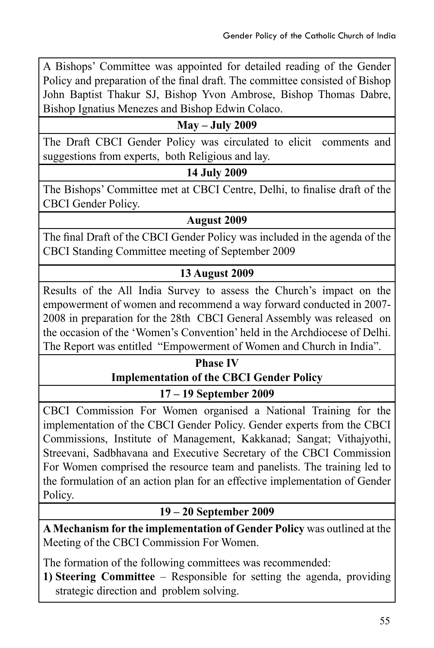A Bishops' Committee was appointed for detailed reading of the Gender Policy and preparation of the final draft. The committee consisted of Bishop John Baptist Thakur SJ, Bishop Yvon Ambrose, Bishop Thomas Dabre, Bishop Ignatius Menezes and Bishop Edwin Colaco.

#### **May – July 2009**

The Draft CBCI Gender Policy was circulated to elicit comments and suggestions from experts, both Religious and lay.

#### **14 July 2009**

The Bishops' Committee met at CBCI Centre, Delhi, to finalise draft of the CBCI Gender Policy.

#### **August 2009**

The final Draft of the CBCI Gender Policy was included in the agenda of the CBCI Standing Committee meeting of September 2009

#### **13 August 2009**

Results of the All India Survey to assess the Church's impact on the empowerment of women and recommend a way forward conducted in 2007- 2008 in preparation for the 28th CBCI General Assembly was released on the occasion of the 'Women's Convention' held in the Archdiocese of Delhi. The Report was entitled "Empowerment of Women and Church in India".

# **Phase IV Implementation of the CBCI Gender Policy**

**17 – 19 September 2009**

CBCI Commission For Women organised a National Training for the implementation of the CBCI Gender Policy. Gender experts from the CBCI Commissions, Institute of Management, Kakkanad; Sangat; Vithajyothi, Streevani, Sadbhavana and Executive Secretary of the CBCI Commission For Women comprised the resource team and panelists. The training led to the formulation of an action plan for an effective implementation of Gender Policy.

#### **19 – 20 September 2009**

**A Mechanism for the implementation of Gender Policy** was outlined at the Meeting of the CBCI Commission For Women.

The formation of the following committees was recommended:

**1) Steering Committee** – Responsible for setting the agenda, providing strategic direction and problem solving.